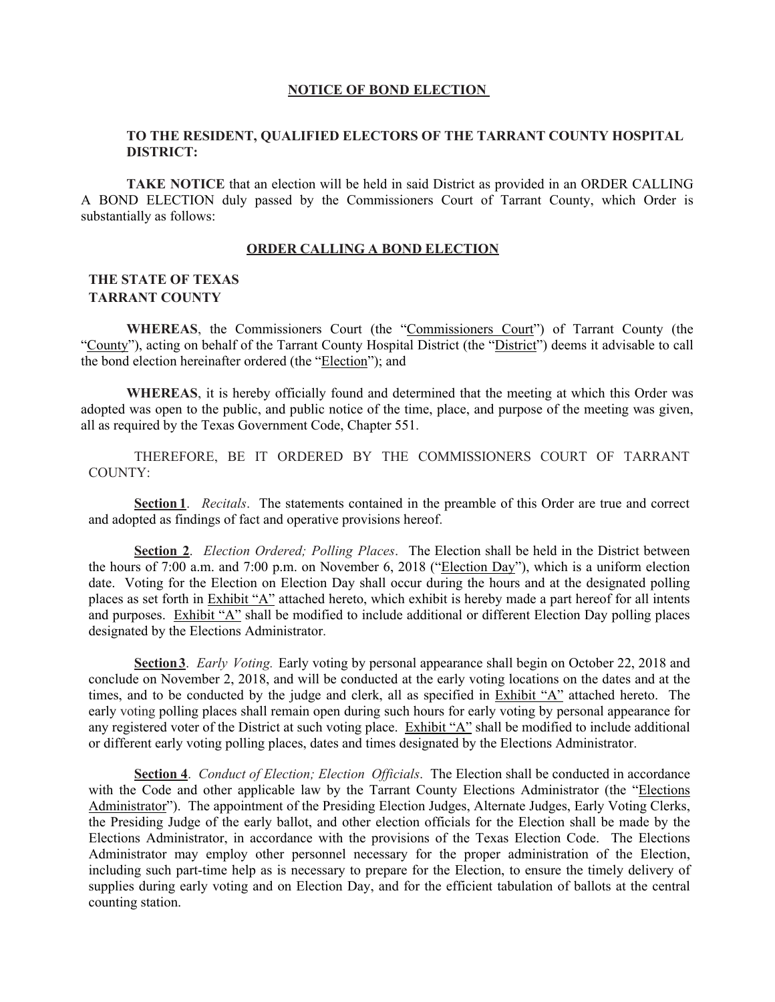#### **NOTICE OF BOND ELECTION**

### **TO THE RESIDENT, QUALIFIED ELECTORS OF THE TARRANT COUNTY HOSPITAL DISTRICT:**

**TAKE NOTICE** that an election will be held in said District as provided in an ORDER CALLING A BOND ELECTION duly passed by the Commissioners Court of Tarrant County, which Order is substantially as follows:

#### **ORDER CALLING A BOND ELECTION**

### **THE STATE OF TEXAS TARRANT COUNTY**

**WHEREAS**, the Commissioners Court (the "Commissioners Court") of Tarrant County (the "County"), acting on behalf of the Tarrant County Hospital District (the "District") deems it advisable to call the bond election hereinafter ordered (the "Election"); and

**WHEREAS**, it is hereby officially found and determined that the meeting at which this Order was adopted was open to the public, and public notice of the time, place, and purpose of the meeting was given, all as required by the Texas Government Code, Chapter 551.

THEREFORE, BE IT ORDERED BY THE COMMISSIONERS COURT OF TARRANT COUNTY:

**Section 1**. *Recitals*. The statements contained in the preamble of this Order are true and correct and adopted as findings of fact and operative provisions hereof.

**Section 2**. *Election Ordered; Polling Places*. The Election shall be held in the District between the hours of 7:00 a.m. and 7:00 p.m. on November 6, 2018 ("Election Day"), which is a uniform election date. Voting for the Election on Election Day shall occur during the hours and at the designated polling places as set forth in Exhibit "A" attached hereto, which exhibit is hereby made a part hereof for all intents and purposes. Exhibit "A" shall be modified to include additional or different Election Day polling places designated by the Elections Administrator.

**Section 3**. *Early Voting.* Early voting by personal appearance shall begin on October 22, 2018 and conclude on November 2, 2018, and will be conducted at the early voting locations on the dates and at the times, and to be conducted by the judge and clerk, all as specified in Exhibit "A" attached hereto. The early voting polling places shall remain open during such hours for early voting by personal appearance for any registered voter of the District at such voting place. Exhibit "A" shall be modified to include additional or different early voting polling places, dates and times designated by the Elections Administrator.

**Section 4**. *Conduct of Election; Election Officials*. The Election shall be conducted in accordance with the Code and other applicable law by the Tarrant County Elections Administrator (the "Elections Administrator"). The appointment of the Presiding Election Judges, Alternate Judges, Early Voting Clerks, the Presiding Judge of the early ballot, and other election officials for the Election shall be made by the Elections Administrator, in accordance with the provisions of the Texas Election Code. The Elections Administrator may employ other personnel necessary for the proper administration of the Election, including such part-time help as is necessary to prepare for the Election, to ensure the timely delivery of supplies during early voting and on Election Day, and for the efficient tabulation of ballots at the central counting station.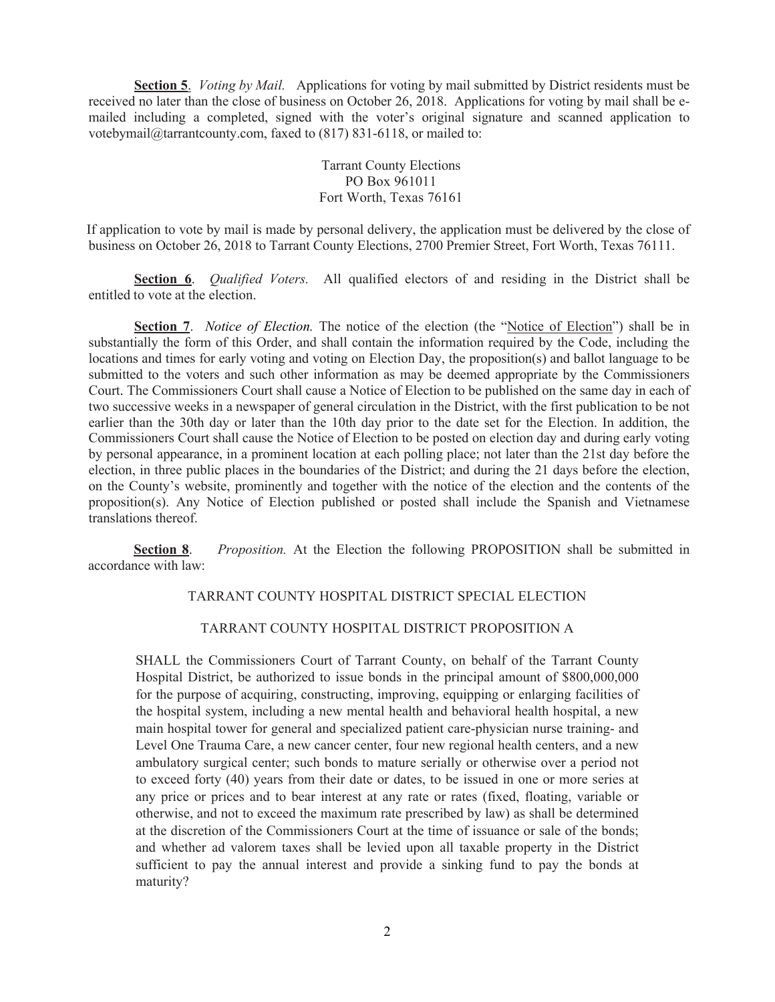**Section 5**.*Voting by Mail.* Applications for voting by mail submitted by District residents must be received no later than the close of business on October 26, 2018. Applications for voting by mail shall be emailed including a completed, signed with the voter's original signature and scanned application to votebymail@tarrantcounty.com, faxed to (817) 831-6118, or mailed to:

> Tarrant County Elections PO Box 961011 Fort Worth, Texas 76161

If application to vote by mail is made by personal delivery, the application must be delivered by the close of business on October 26, 2018 to Tarrant County Elections, 2700 Premier Street, Fort Worth, Texas 76111.

**Section 6**. *Qualified Voters.* All qualified electors of and residing in the District shall be entitled to vote at the election.

**Section 7.** *Notice of Election*. The notice of the election (the "Notice of Election") shall be in substantially the form of this Order, and shall contain the information required by the Code, including the locations and times for early voting and voting on Election Day, the proposition(s) and ballot language to be submitted to the voters and such other information as may be deemed appropriate by the Commissioners Court. The Commissioners Court shall cause a Notice of Election to be published on the same day in each of two successive weeks in a newspaper of general circulation in the District, with the first publication to be not earlier than the 30th day or later than the 10th day prior to the date set for the Election. In addition, the Commissioners Court shall cause the Notice of Election to be posted on election day and during early voting by personal appearance, in a prominent location at each polling place; not later than the 21st day before the election, in three public places in the boundaries of the District; and during the 21 days before the election, on the County's website, prominently and together with the notice of the election and the contents of the proposition(s). Any Notice of Election published or posted shall include the Spanish and Vietnamese translations thereof.

**Section 8**. *Proposition.* At the Election the following PROPOSITION shall be submitted in accordance with law:

#### TARRANT COUNTY HOSPITAL DISTRICT SPECIAL ELECTION

### TARRANT COUNTY HOSPITAL DISTRICT PROPOSITION A

SHALL the Commissioners Court of Tarrant County, on behalf of the Tarrant County Hospital District, be authorized to issue bonds in the principal amount of \$800,000,000 for the purpose of acquiring, constructing, improving, equipping or enlarging facilities of the hospital system, including a new mental health and behavioral health hospital, a new main hospital tower for general and specialized patient care-physician nurse training- and Level One Trauma Care, a new cancer center, four new regional health centers, and a new ambulatory surgical center; such bonds to mature serially or otherwise over a period not to exceed forty (40) years from their date or dates, to be issued in one or more series at any price or prices and to bear interest at any rate or rates (fixed, floating, variable or otherwise, and not to exceed the maximum rate prescribed by law) as shall be determined at the discretion of the Commissioners Court at the time of issuance or sale of the bonds; and whether ad valorem taxes shall be levied upon all taxable property in the District sufficient to pay the annual interest and provide a sinking fund to pay the bonds at maturity?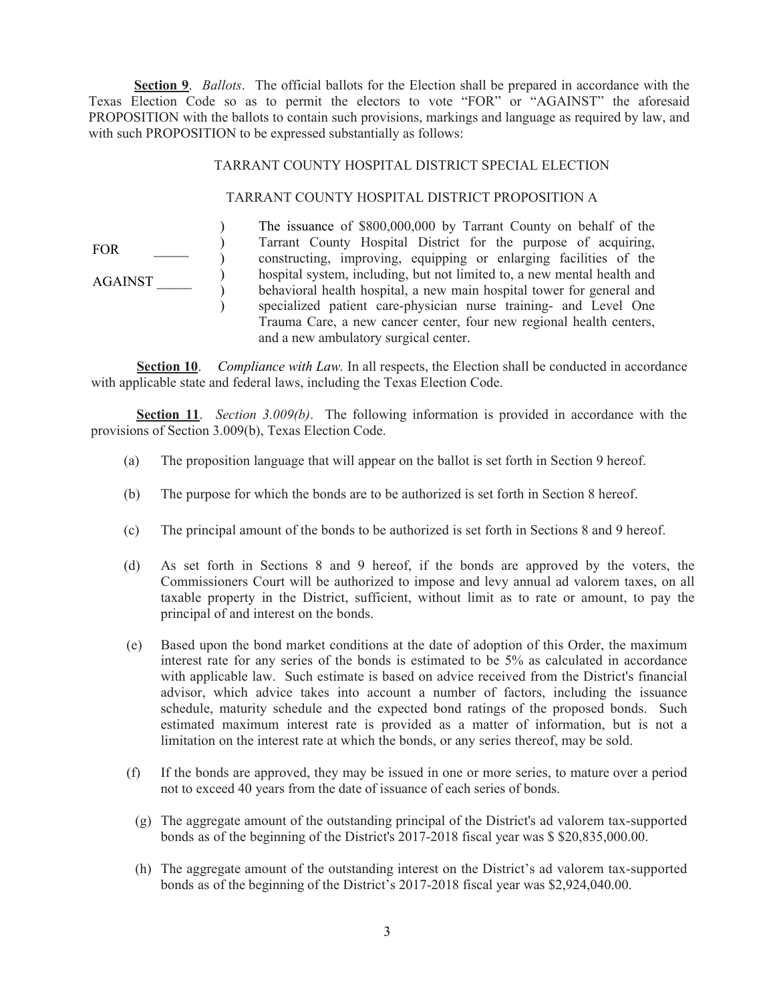**Section 9**. *Ballots*. The official ballots for the Election shall be prepared in accordance with the Texas Election Code so as to permit the electors to vote "FOR" or "AGAINST" the aforesaid PROPOSITION with the ballots to contain such provisions, markings and language as required by law, and with such PROPOSITION to be expressed substantially as follows:

### TARRANT COUNTY HOSPITAL DISTRICT SPECIAL ELECTION

### TARRANT COUNTY HOSPITAL DISTRICT PROPOSITION A

FOR \_\_\_\_\_ AGAINST \_\_\_\_\_  $\lambda$  $\mathcal{L}$  $\mathcal{L}$  $\mathcal{L}$  ) ) The issuance of \$800,000,000 by Tarrant County on behalf of the Tarrant County Hospital District for the purpose of acquiring, constructing, improving, equipping or enlarging facilities of the hospital system, including, but not limited to, a new mental health and behavioral health hospital, a new main hospital tower for general and specialized patient care-physician nurse training- and Level One Trauma Care, a new cancer center, four new regional health centers, and a new ambulatory surgical center.

**Section 10**. *Compliance with Law.* In all respects, the Election shall be conducted in accordance with applicable state and federal laws, including the Texas Election Code.

**Section 11**. *Section 3.009(b)*. The following information is provided in accordance with the provisions of Section 3.009(b), Texas Election Code.

- (a) The proposition language that will appear on the ballot is set forth in Section 9 hereof.
- (b) The purpose for which the bonds are to be authorized is set forth in Section 8 hereof.
- (c) The principal amount of the bonds to be authorized is set forth in Sections 8 and 9 hereof.
- (d) As set forth in Sections 8 and 9 hereof, if the bonds are approved by the voters, the Commissioners Court will be authorized to impose and levy annual ad valorem taxes, on all taxable property in the District, sufficient, without limit as to rate or amount, to pay the principal of and interest on the bonds.
- (e) Based upon the bond market conditions at the date of adoption of this Order, the maximum interest rate for any series of the bonds is estimated to be 5% as calculated in accordance with applicable law. Such estimate is based on advice received from the District's financial advisor, which advice takes into account a number of factors, including the issuance schedule, maturity schedule and the expected bond ratings of the proposed bonds. Such estimated maximum interest rate is provided as a matter of information, but is not a limitation on the interest rate at which the bonds, or any series thereof, may be sold.
- (f) If the bonds are approved, they may be issued in one or more series, to mature over a period not to exceed 40 years from the date of issuance of each series of bonds.
	- (g) The aggregate amount of the outstanding principal of the District's ad valorem tax-supported bonds as of the beginning of the District's 2017-2018 fiscal year was \$ \$20,835,000.00.
	- (h) The aggregate amount of the outstanding interest on the District's ad valorem tax-supported bonds as of the beginning of the District's 2017-2018 fiscal year was \$2,924,040.00.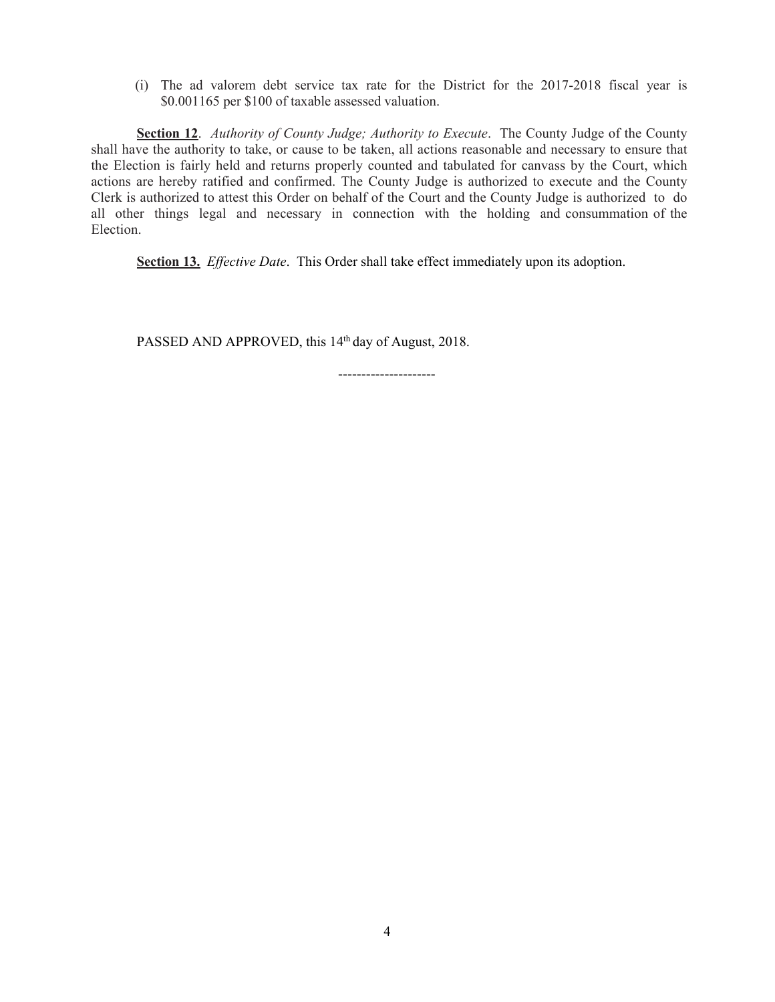(i) The ad valorem debt service tax rate for the District for the 2017-2018 fiscal year is \$0.001165 per \$100 of taxable assessed valuation.

**Section 12**. *Authority of County Judge; Authority to Execute*. The County Judge of the County shall have the authority to take, or cause to be taken, all actions reasonable and necessary to ensure that the Election is fairly held and returns properly counted and tabulated for canvass by the Court, which actions are hereby ratified and confirmed. The County Judge is authorized to execute and the County Clerk is authorized to attest this Order on behalf of the Court and the County Judge is authorized to do all other things legal and necessary in connection with the holding and consummation of the Election.

**Section 13.** *Effective Date*. This Order shall take effect immediately upon its adoption.

PASSED AND APPROVED, this 14<sup>th</sup> day of August, 2018.

---------------------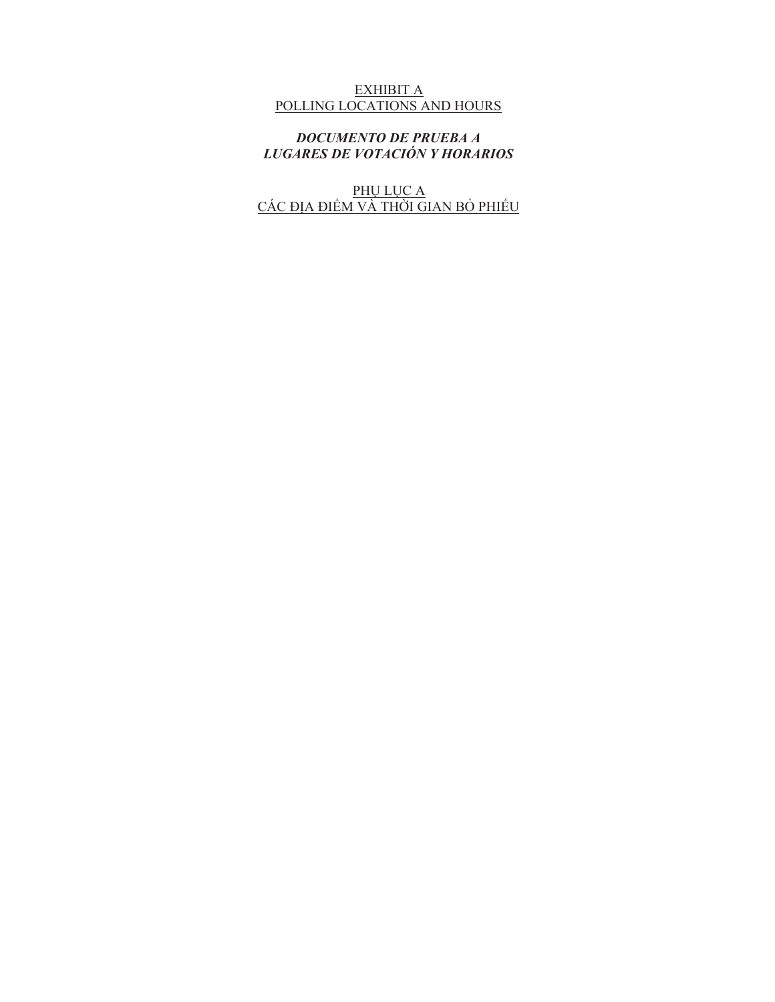# EXHIBIT A POLLING LOCATIONS AND HOURS

*DOCUMENTO DE PRUEBA A LUGARES DE VOTACIÓN Y HORARIOS*

PHỤ LỤC A CÁC ĐỊA ĐIỂM VÀ THỜI GIAN BỎ PHIẾU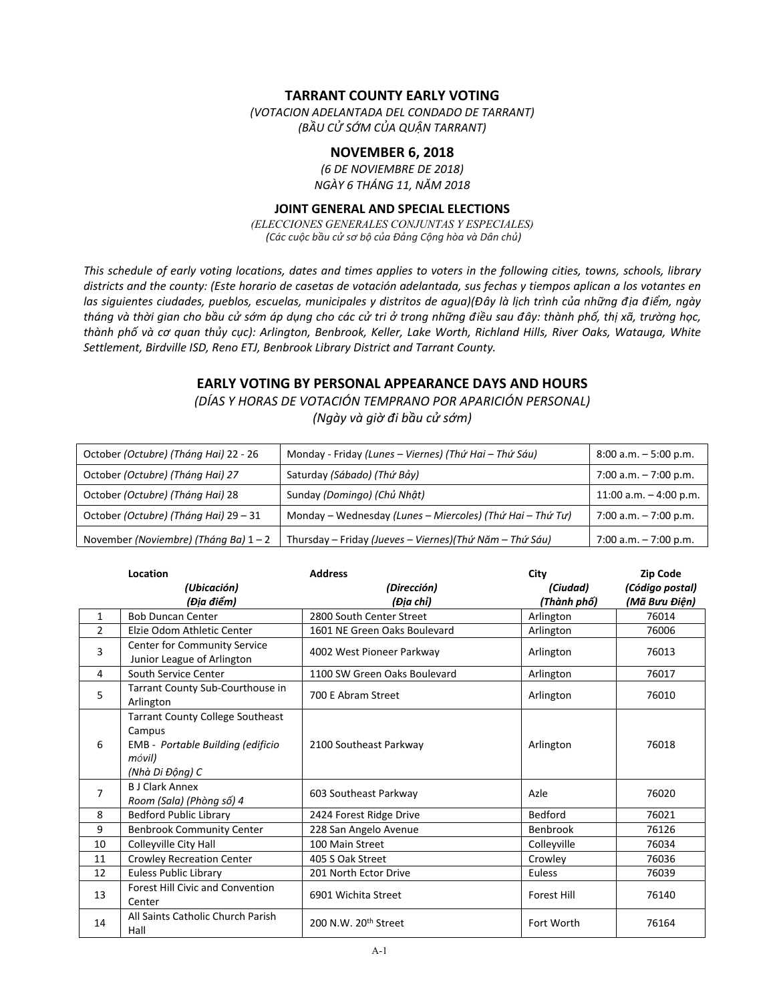### **TARRANT COUNTY EARLY VOTING**

*(VOTACION ADELANTADA DEL CONDADO DE TARRANT) (BẦU CỬ SỚM CỦA QUẬN TARRANT)*

### **NOVEMBER 6, 2018**

*(6 DE NOVIEMBRE DE 2018) NGÀY 6 THÁNG 11, NĂM 2018*

#### **JOINT GENERAL AND SPECIAL ELECTIONS**

*(ELECCIONES GENERALES CONJUNTAS Y ESPECIALES) (Các cuộc bầu cử sơ bộ của Đảng Cộng hòa và Dân chủ)*

*This schedule of early voting locations, dates and times applies to voters in the following cities, towns, schools, library districts and the county: (Este horario de casetas de votación adelantada, sus fechas y tiempos aplican a los votantes en las siguientes ciudades, pueblos, escuelas, municipales y distritos de agua)(Đây là lịch trình của những địa điểm, ngày*  tháng và thời gian cho bầu cử sớm áp dung cho các cử tri ở trong những điều sau đây: thành phố, thi xã, trường hoc, *thành phố và cơ quan thủy cục): Arlington, Benbrook, Keller, Lake Worth, Richland Hills, River Oaks, Watauga, White Settlement, Birdville ISD, Reno ETJ, Benbrook Library District and Tarrant County.*

# **EARLY VOTING BY PERSONAL APPEARANCE DAYS AND HOURS**

*(DÍAS Y HORAS DE VOTACIÓN TEMPRANO POR APARICIÓN PERSONAL) (Ngày và giờ đi bầu cử sớm)*

| October (Octubre) (Tháng Hai) 22 - 26 | Monday - Friday (Lunes – Viernes) (Thứ Hai – Thứ Sáu)     | $8:00$ a.m. $-5:00$ p.m. |
|---------------------------------------|-----------------------------------------------------------|--------------------------|
| October (Octubre) (Tháng Hai) 27      | Saturday (Sábado) (Thứ Bảy)                               | 7:00 a.m. $-7:00$ p.m.   |
| October (Octubre) (Tháng Hai) 28      | Sunday (Domingo) (Chủ Nhật)                               | 11:00 a.m. $-$ 4:00 p.m. |
| October (Octubre) (Tháng Hai) 29 – 31 | Monday - Wednesday (Lunes - Miercoles) (Thứ Hai - Thứ Tư) | $7:00$ a.m. $-7:00$ p.m. |
| November (Noviembre) (Tháng Ba) 1 - 2 | Thursday – Friday (Jueves – Viernes) (Thứ Năm – Thứ Sáu)  | $7:00$ a.m. $-7:00$ p.m. |

|                | Location                                                                                                            | <b>Address</b>                   | City                    | <b>Zip Code</b>                  |
|----------------|---------------------------------------------------------------------------------------------------------------------|----------------------------------|-------------------------|----------------------------------|
|                | (Ubicación)<br>(Địa điểm)                                                                                           | (Dirección)<br>(Địa chỉ)         | (Ciudad)<br>(Thành phố) | (Código postal)<br>(Mã Bưu Điện) |
| $\mathbf{1}$   | <b>Bob Duncan Center</b>                                                                                            | 2800 South Center Street         | Arlington               | 76014                            |
| $\overline{2}$ | Elzie Odom Athletic Center                                                                                          | 1601 NE Green Oaks Boulevard     | Arlington               | 76006                            |
| 3              | Center for Community Service<br>Junior League of Arlington                                                          | 4002 West Pioneer Parkway        | Arlington               | 76013                            |
| 4              | South Service Center                                                                                                | 1100 SW Green Oaks Boulevard     | Arlington               | 76017                            |
| 5              | Tarrant County Sub-Courthouse in<br>Arlington                                                                       | 700 E Abram Street               | Arlington               | 76010                            |
| 6              | <b>Tarrant County College Southeast</b><br>Campus<br>EMB - Portable Building (edificio<br>móvil)<br>(Nhà Di Động) C | 2100 Southeast Parkway           | Arlington               | 76018                            |
| $\overline{7}$ | <b>B J Clark Annex</b><br>Room (Sala) (Phòng số) 4                                                                  | 603 Southeast Parkway            | Azle                    | 76020                            |
| 8              | <b>Bedford Public Library</b>                                                                                       | 2424 Forest Ridge Drive          | <b>Bedford</b>          | 76021                            |
| 9              | <b>Benbrook Community Center</b>                                                                                    | 228 San Angelo Avenue            | <b>Benbrook</b>         | 76126                            |
| 10             | Colleyville City Hall                                                                                               | 100 Main Street                  | Colleyville             | 76034                            |
| 11             | <b>Crowley Recreation Center</b>                                                                                    | 405 S Oak Street                 | Crowley                 | 76036                            |
| 12             | <b>Euless Public Library</b>                                                                                        | 201 North Ector Drive            | <b>Euless</b>           | 76039                            |
| 13             | <b>Forest Hill Civic and Convention</b><br>Center                                                                   | 6901 Wichita Street              | <b>Forest Hill</b>      | 76140                            |
| 14             | All Saints Catholic Church Parish<br>Hall                                                                           | 200 N.W. 20 <sup>th</sup> Street | Fort Worth              | 76164                            |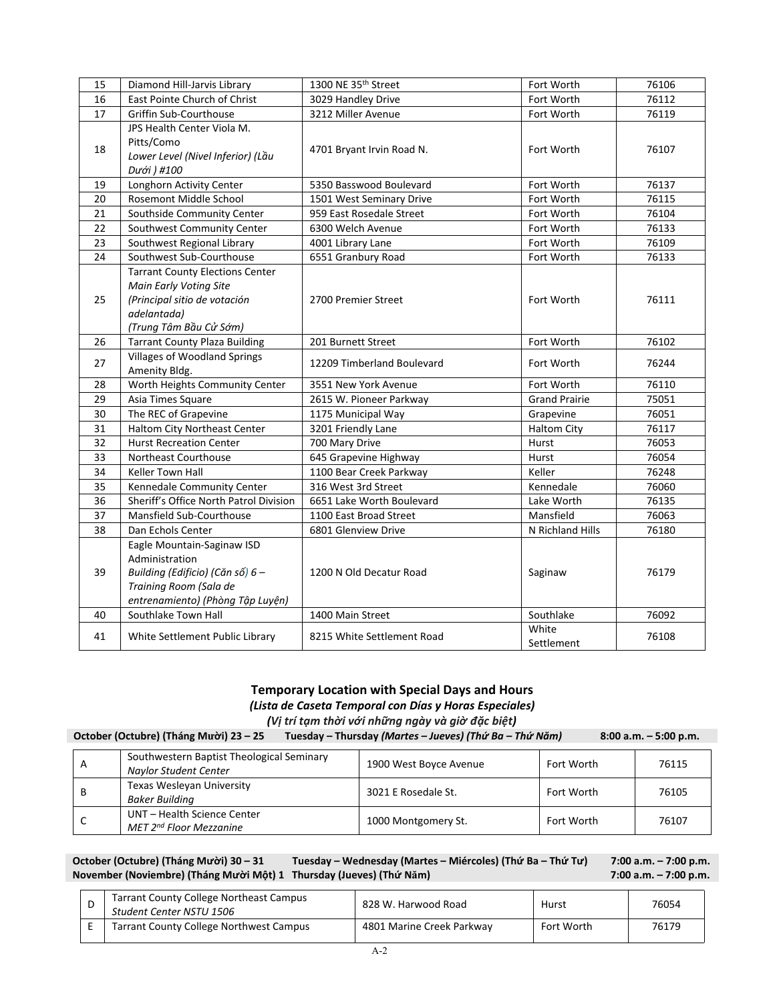| 15 | Diamond Hill-Jarvis Library                                                                                                                    | 1300 NE 35th Street        | Fort Worth           | 76106 |  |
|----|------------------------------------------------------------------------------------------------------------------------------------------------|----------------------------|----------------------|-------|--|
| 16 | East Pointe Church of Christ                                                                                                                   | 3029 Handley Drive         | Fort Worth           | 76112 |  |
| 17 | Griffin Sub-Courthouse                                                                                                                         | 3212 Miller Avenue         | Fort Worth           | 76119 |  |
| 18 | JPS Health Center Viola M.<br>Pitts/Como<br>Lower Level (Nivel Inferior) (Lầu<br>Dưới ) #100                                                   | 4701 Bryant Irvin Road N.  | Fort Worth           | 76107 |  |
| 19 | Longhorn Activity Center                                                                                                                       | 5350 Basswood Boulevard    | Fort Worth           | 76137 |  |
| 20 | <b>Rosemont Middle School</b>                                                                                                                  | 1501 West Seminary Drive   | Fort Worth           | 76115 |  |
| 21 | Southside Community Center                                                                                                                     | 959 East Rosedale Street   | Fort Worth           | 76104 |  |
| 22 | Southwest Community Center                                                                                                                     | 6300 Welch Avenue          | Fort Worth           | 76133 |  |
| 23 | Southwest Regional Library                                                                                                                     | 4001 Library Lane          | Fort Worth           | 76109 |  |
| 24 | Southwest Sub-Courthouse                                                                                                                       | 6551 Granbury Road         | Fort Worth           | 76133 |  |
| 25 | <b>Tarrant County Elections Center</b><br>Main Early Voting Site<br>(Principal sitio de votación<br>adelantada)<br>(Trung Tâm Bầu Cử Sớm)      | 2700 Premier Street        | Fort Worth           | 76111 |  |
| 26 | <b>Tarrant County Plaza Building</b>                                                                                                           | 201 Burnett Street         | Fort Worth           | 76102 |  |
| 27 | <b>Villages of Woodland Springs</b><br>Amenity Bldg.                                                                                           | 12209 Timberland Boulevard | Fort Worth           | 76244 |  |
| 28 | Worth Heights Community Center                                                                                                                 | 3551 New York Avenue       | Fort Worth           | 76110 |  |
| 29 | Asia Times Square                                                                                                                              | 2615 W. Pioneer Parkway    | <b>Grand Prairie</b> | 75051 |  |
| 30 | The REC of Grapevine                                                                                                                           | 1175 Municipal Way         | Grapevine            | 76051 |  |
| 31 | Haltom City Northeast Center                                                                                                                   | 3201 Friendly Lane         | <b>Haltom City</b>   | 76117 |  |
| 32 | <b>Hurst Recreation Center</b>                                                                                                                 | 700 Mary Drive             | Hurst                | 76053 |  |
| 33 | Northeast Courthouse                                                                                                                           | 645 Grapevine Highway      | Hurst                | 76054 |  |
| 34 | <b>Keller Town Hall</b>                                                                                                                        | 1100 Bear Creek Parkway    | Keller               | 76248 |  |
| 35 | Kennedale Community Center                                                                                                                     | 316 West 3rd Street        | Kennedale            | 76060 |  |
| 36 | Sheriff's Office North Patrol Division                                                                                                         | 6651 Lake Worth Boulevard  | Lake Worth           | 76135 |  |
| 37 | Mansfield Sub-Courthouse                                                                                                                       | 1100 East Broad Street     | Mansfield            | 76063 |  |
| 38 | Dan Echols Center                                                                                                                              | 6801 Glenview Drive        | N Richland Hills     | 76180 |  |
| 39 | Eagle Mountain-Saginaw ISD<br>Administration<br>Building (Edificio) (Căn số) 6 -<br>Training Room (Sala de<br>entrenamiento) (Phòng Tập Luyện) | 1200 N Old Decatur Road    | Saginaw              | 76179 |  |
| 40 | Southlake Town Hall                                                                                                                            | 1400 Main Street           | Southlake            | 76092 |  |
| 41 | White Settlement Public Library                                                                                                                | 8215 White Settlement Road | White<br>Settlement  | 76108 |  |

#### **Temporary Location with Special Days and Hours** *(Lista de Caseta Temporal con Días y Horas Especiales) (Vị trí tạm thời với những ngày và giờ đặc biệt)*

| is in this countries in the community that all all a head the control of the control of the control of the control of the control of the control of the control of the control of the control of the control of the control of |                                                                    |                        |            |       |  |
|--------------------------------------------------------------------------------------------------------------------------------------------------------------------------------------------------------------------------------|--------------------------------------------------------------------|------------------------|------------|-------|--|
| October (Octubre) (Tháng Mười) 23 – 25<br>Tuesday – Thursday (Martes – Jueves) (Thứ Ba – Thứ Năm)<br>$8:00$ a.m. $-5:00$ p.m.                                                                                                  |                                                                    |                        |            |       |  |
| A                                                                                                                                                                                                                              | Southwestern Baptist Theological Seminary<br>Naylor Student Center | 1900 West Boyce Avenue | Fort Worth | 76115 |  |
| В                                                                                                                                                                                                                              | Texas Wesleyan University<br><b>Baker Building</b>                 | 3021 E Rosedale St.    | Fort Worth | 76105 |  |
| C                                                                                                                                                                                                                              | UNT - Health Science Center<br>MET 2 <sup>nd</sup> Floor Mezzanine | 1000 Montgomery St.    | Fort Worth | 76107 |  |

#### **October (Octubre) (Tháng Mười) 30 – 31 Tuesday – Wednesday (Martes – Miércoles) (Thứ Ba – Thứ Tư) 7:00 a.m. – 7:00 p.m. November (Noviembre) (Tháng Mười Một) 1 Thursday (Jueves) (Thứ Năm) 7:00 a.m. – 7:00 p.m.**

| <b>Tarrant County College Northeast Campus</b><br>Student Center NSTU 1506 | 828 W. Harwood Road       | Hurst      | 76054 |
|----------------------------------------------------------------------------|---------------------------|------------|-------|
| <b>Tarrant County College Northwest Campus</b>                             | 4801 Marine Creek Parkway | Fort Worth | 76179 |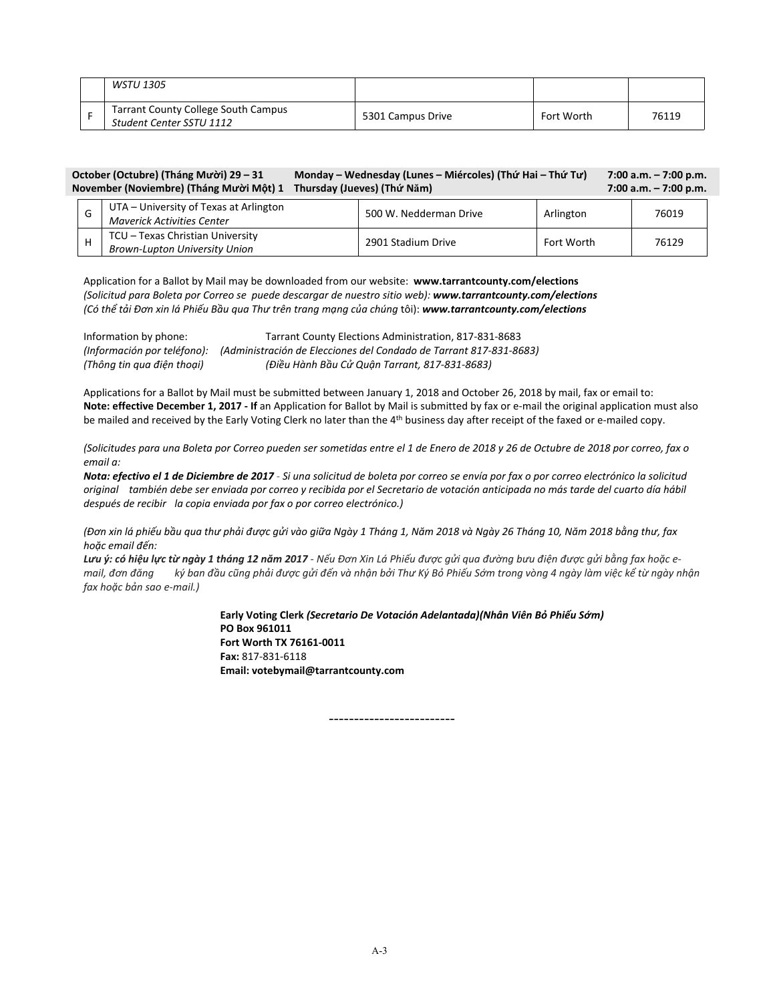| WSTU 1305                                                              |                   |            |       |
|------------------------------------------------------------------------|-------------------|------------|-------|
| <b>Tarrant County College South Campus</b><br>Student Center SSTU 1112 | 5301 Campus Drive | Fort Worth | 76119 |

#### **October (Octubre) (Tháng Mười) 29 – 31 Monday – Wednesday (Lunes – Miércoles) (Thứ Hai – Thứ Tư) 7:00 a.m. – 7:00 p.m. November (Noviembre) (Tháng Mười Một) 1 Thursday (Jueves) (Thứ Năm) 7:00 a.m. – 7:00 p.m.**

| UTA – University of Texas at Arlington<br>Maverick Activities Center     | 500 W. Nedderman Drive | Arlington  | 76019 |
|--------------------------------------------------------------------------|------------------------|------------|-------|
| TCU - Texas Christian University<br><b>Brown-Lupton University Union</b> | 2901 Stadium Drive     | Fort Worth | 76129 |

Application for a Ballot by Mail may be downloaded from our website: **www.tarrantcounty.com/elections** *(Solicitud para Boleta por Correo se puede descargar de nuestro sitio web): www.tarrantcounty.com/elections (Có thể tải Đơn xin lá Phiếu Bầu qua Thư trên trang mạng của chúng* tôi): *www.tarrantcounty.com/elections*

| Information by phone:      | Tarrant County Elections Administration, 817-831-8683                                          |
|----------------------------|------------------------------------------------------------------------------------------------|
|                            | (Información por teléfono): (Administración de Elecciones del Condado de Tarrant 817-831-8683) |
| (Thông tin qua điện thoại) | (Điều Hành Bầu Cử Quận Tarrant, 817-831-8683)                                                  |

Applications for a Ballot by Mail must be submitted between January 1, 2018 and October 26, 2018 by mail, fax or email to: **Note: effective December 1, 2017 - If** an Application for Ballot by Mail is submitted by fax or e-mail the original application must also be mailed and received by the Early Voting Clerk no later than the 4th business day after receipt of the faxed or e-mailed copy.

*(Solicitudes para una Boleta por Correo pueden ser sometidas entre el 1 de Enero de 2018 y 26 de Octubre de 2018 por correo, fax o email a:*

*Nota: efectivo el 1 de Diciembre de 2017 - Si una solicitud de boleta por correo se envía por fax o por correo electrónico la solicitud original también debe ser enviada por correo y recibida por el Secretario de votación anticipada no más tarde del cuarto día hábil después de recibir la copia enviada por fax o por correo electrónico.)*

(Đơn xin lá phiếu bầu qua thư phải được qửi vào giữa Ngày 1 Tháng 1, Năm 2018 và Ngày 26 Tháng 10, Năm 2018 bằng thư, fax *hoặc email đến:*

Lưu ý: có hiệu lực từ ngày 1 tháng 12 năm 2017 - Nếu Đơn Xin Lá Phiếu được gửi qua đường bưu điện được gửi bằng fax hoặc email, đơn đăng ký ban đầu cũng phải được gửi đến và nhận bởi Thư Ký Bỏ Phiếu Sớm trong vòng 4 ngày làm việc kể từ ngày nhận *fax hoặc bản sao e-mail.)*

> **Early Voting Clerk** *(Secretario De Votación Adelantada)(Nhân Viên Bỏ Phiếu Sớm)* **PO Box 961011 Fort Worth TX 76161-0011 Fax:** 817-831-6118 **Email: votebymail@tarrantcounty.com**

> > -------------------------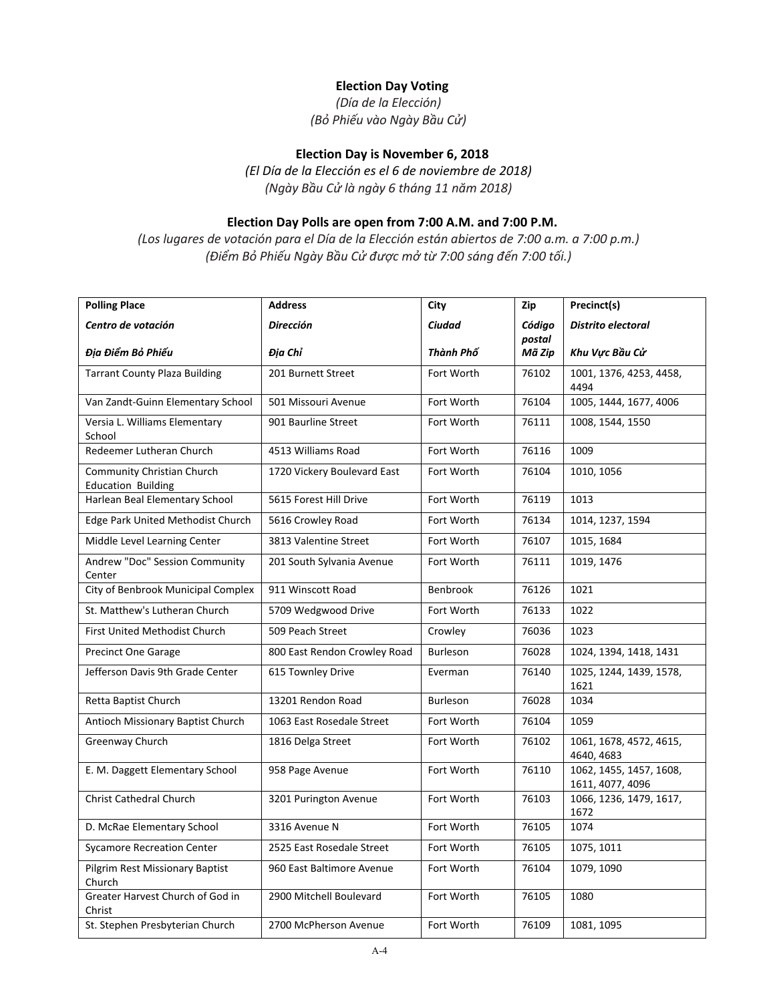# **Election Day Voting**

*(Día de la Elección) (Bỏ Phiếu vào Ngày Bầu Cử)*

# **Election Day is November 6, 2018**

*(El Día de la Elección es el 6 de noviembre de 2018) (Ngày Bầu Cử là ngày 6 tháng 11 năm 2018)*

# **Election Day Polls are open from 7:00 A.M. and 7:00 P.M.**

*(Los lugares de votación para el Día de la Elección están abiertos de 7:00 a.m. a 7:00 p.m.) (Điểm Bỏ Phiếu Ngày Bầu Cử được mở từ 7:00 sáng đến 7:00 tối.)*

| <b>Polling Place</b>                                           | <b>Address</b>               | City            | Zip              | Precinct(s)                                 |
|----------------------------------------------------------------|------------------------------|-----------------|------------------|---------------------------------------------|
| Centro de votación                                             | <b>Dirección</b>             | Ciudad          | Código           | Distrito electoral                          |
| Địa Điểm Bỏ Phiếu                                              | Địa Chỉ                      | Thành Phố       | postal<br>Mã Zip | Khu Vực Bầu Cử                              |
| <b>Tarrant County Plaza Building</b>                           | 201 Burnett Street           | Fort Worth      | 76102            | 1001, 1376, 4253, 4458,<br>4494             |
| Van Zandt-Guinn Elementary School                              | 501 Missouri Avenue          | Fort Worth      | 76104            | 1005, 1444, 1677, 4006                      |
| Versia L. Williams Elementary<br>School                        | 901 Baurline Street          | Fort Worth      | 76111            | 1008, 1544, 1550                            |
| Redeemer Lutheran Church                                       | 4513 Williams Road           | Fort Worth      | 76116            | 1009                                        |
| <b>Community Christian Church</b><br><b>Education Building</b> | 1720 Vickery Boulevard East  | Fort Worth      | 76104            | 1010, 1056                                  |
| Harlean Beal Elementary School                                 | 5615 Forest Hill Drive       | Fort Worth      | 76119            | 1013                                        |
| Edge Park United Methodist Church                              | 5616 Crowley Road            | Fort Worth      | 76134            | 1014, 1237, 1594                            |
| Middle Level Learning Center                                   | 3813 Valentine Street        | Fort Worth      | 76107            | 1015, 1684                                  |
| Andrew "Doc" Session Community<br>Center                       | 201 South Sylvania Avenue    | Fort Worth      | 76111            | 1019, 1476                                  |
| City of Benbrook Municipal Complex                             | 911 Winscott Road            | Benbrook        | 76126            | 1021                                        |
| St. Matthew's Lutheran Church                                  | 5709 Wedgwood Drive          | Fort Worth      | 76133            | 1022                                        |
| First United Methodist Church                                  | 509 Peach Street             | Crowley         | 76036            | 1023                                        |
| <b>Precinct One Garage</b>                                     | 800 East Rendon Crowley Road | Burleson        | 76028            | 1024, 1394, 1418, 1431                      |
| Jefferson Davis 9th Grade Center                               | 615 Townley Drive            | Everman         | 76140            | 1025, 1244, 1439, 1578,<br>1621             |
| Retta Baptist Church                                           | 13201 Rendon Road            | <b>Burleson</b> | 76028            | 1034                                        |
| Antioch Missionary Baptist Church                              | 1063 East Rosedale Street    | Fort Worth      | 76104            | 1059                                        |
| Greenway Church                                                | 1816 Delga Street            | Fort Worth      | 76102            | 1061, 1678, 4572, 4615,<br>4640, 4683       |
| E. M. Daggett Elementary School                                | 958 Page Avenue              | Fort Worth      | 76110            | 1062, 1455, 1457, 1608,<br>1611, 4077, 4096 |
| <b>Christ Cathedral Church</b>                                 | 3201 Purington Avenue        | Fort Worth      | 76103            | 1066, 1236, 1479, 1617,<br>1672             |
| D. McRae Elementary School                                     | 3316 Avenue N                | Fort Worth      | 76105            | 1074                                        |
| <b>Sycamore Recreation Center</b>                              | 2525 East Rosedale Street    | Fort Worth      | 76105            | 1075, 1011                                  |
| Pilgrim Rest Missionary Baptist<br>Church                      | 960 East Baltimore Avenue    | Fort Worth      | 76104            | 1079, 1090                                  |
| Greater Harvest Church of God in<br>Christ                     | 2900 Mitchell Boulevard      | Fort Worth      | 76105            | 1080                                        |
| St. Stephen Presbyterian Church                                | 2700 McPherson Avenue        | Fort Worth      | 76109            | 1081, 1095                                  |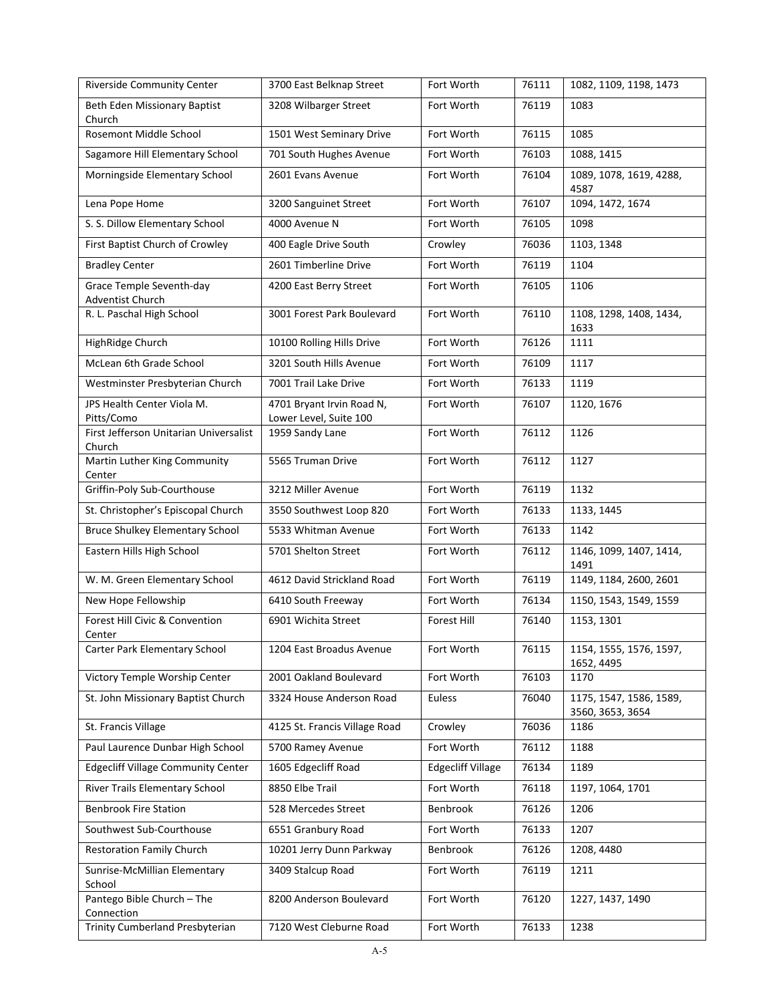| Riverside Community Center                       | 3700 East Belknap Street                            | Fort Worth               | 76111 | 1082, 1109, 1198, 1473                      |
|--------------------------------------------------|-----------------------------------------------------|--------------------------|-------|---------------------------------------------|
| Beth Eden Missionary Baptist<br>Church           | 3208 Wilbarger Street                               | Fort Worth               | 76119 | 1083                                        |
| Rosemont Middle School                           | 1501 West Seminary Drive                            | Fort Worth               | 76115 | 1085                                        |
| Sagamore Hill Elementary School                  | 701 South Hughes Avenue                             | Fort Worth               | 76103 | 1088, 1415                                  |
| Morningside Elementary School                    | 2601 Evans Avenue                                   | Fort Worth               | 76104 | 1089, 1078, 1619, 4288,<br>4587             |
| Lena Pope Home                                   | 3200 Sanguinet Street                               | Fort Worth               | 76107 | 1094, 1472, 1674                            |
| S. S. Dillow Elementary School                   | 4000 Avenue N                                       | Fort Worth               | 76105 | 1098                                        |
| First Baptist Church of Crowley                  | 400 Eagle Drive South                               | Crowley                  | 76036 | 1103, 1348                                  |
| <b>Bradley Center</b>                            | 2601 Timberline Drive                               | Fort Worth               | 76119 | 1104                                        |
| Grace Temple Seventh-day<br>Adventist Church     | 4200 East Berry Street                              | Fort Worth               | 76105 | 1106                                        |
| R. L. Paschal High School                        | 3001 Forest Park Boulevard                          | Fort Worth               | 76110 | 1108, 1298, 1408, 1434,<br>1633             |
| HighRidge Church                                 | 10100 Rolling Hills Drive                           | Fort Worth               | 76126 | 1111                                        |
| McLean 6th Grade School                          | 3201 South Hills Avenue                             | Fort Worth               | 76109 | 1117                                        |
| Westminster Presbyterian Church                  | 7001 Trail Lake Drive                               | Fort Worth               | 76133 | 1119                                        |
| JPS Health Center Viola M.<br>Pitts/Como         | 4701 Bryant Irvin Road N,<br>Lower Level, Suite 100 | Fort Worth               | 76107 | 1120, 1676                                  |
| First Jefferson Unitarian Universalist<br>Church | 1959 Sandy Lane                                     | Fort Worth               | 76112 | 1126                                        |
| Martin Luther King Community<br>Center           | 5565 Truman Drive                                   | Fort Worth               | 76112 | 1127                                        |
| Griffin-Poly Sub-Courthouse                      | 3212 Miller Avenue                                  | Fort Worth               | 76119 | 1132                                        |
| St. Christopher's Episcopal Church               | 3550 Southwest Loop 820                             | Fort Worth               | 76133 | 1133, 1445                                  |
| <b>Bruce Shulkey Elementary School</b>           | 5533 Whitman Avenue                                 | Fort Worth               | 76133 | 1142                                        |
| Eastern Hills High School                        | 5701 Shelton Street                                 | Fort Worth               | 76112 | 1146, 1099, 1407, 1414,<br>1491             |
| W. M. Green Elementary School                    | 4612 David Strickland Road                          | Fort Worth               | 76119 | 1149, 1184, 2600, 2601                      |
| New Hope Fellowship                              | 6410 South Freeway                                  | Fort Worth               | 76134 | 1150, 1543, 1549, 1559                      |
| Forest Hill Civic & Convention<br>Center         | 6901 Wichita Street                                 | Forest Hill              | 76140 | 1153, 1301                                  |
| Carter Park Elementary School                    | 1204 East Broadus Avenue                            | Fort Worth               | 76115 | 1154, 1555, 1576, 1597,<br>1652, 4495       |
| Victory Temple Worship Center                    | 2001 Oakland Boulevard                              | Fort Worth               | 76103 | 1170                                        |
| St. John Missionary Baptist Church               | 3324 House Anderson Road                            | Euless                   | 76040 | 1175, 1547, 1586, 1589,<br>3560, 3653, 3654 |
| St. Francis Village                              | 4125 St. Francis Village Road                       | Crowley                  | 76036 | 1186                                        |
| Paul Laurence Dunbar High School                 | 5700 Ramey Avenue                                   | Fort Worth               | 76112 | 1188                                        |
| <b>Edgecliff Village Community Center</b>        | 1605 Edgecliff Road                                 | <b>Edgecliff Village</b> | 76134 | 1189                                        |
| River Trails Elementary School                   | 8850 Elbe Trail                                     | Fort Worth               | 76118 | 1197, 1064, 1701                            |
| <b>Benbrook Fire Station</b>                     | 528 Mercedes Street                                 | Benbrook                 | 76126 | 1206                                        |
| Southwest Sub-Courthouse                         | 6551 Granbury Road                                  | Fort Worth               | 76133 | 1207                                        |
| <b>Restoration Family Church</b>                 | 10201 Jerry Dunn Parkway                            | <b>Benbrook</b>          | 76126 | 1208, 4480                                  |
| Sunrise-McMillian Elementary<br>School           | 3409 Stalcup Road                                   | Fort Worth               | 76119 | 1211                                        |
| Pantego Bible Church - The<br>Connection         | 8200 Anderson Boulevard                             | Fort Worth               | 76120 | 1227, 1437, 1490                            |
| Trinity Cumberland Presbyterian                  | 7120 West Cleburne Road                             | Fort Worth               | 76133 | 1238                                        |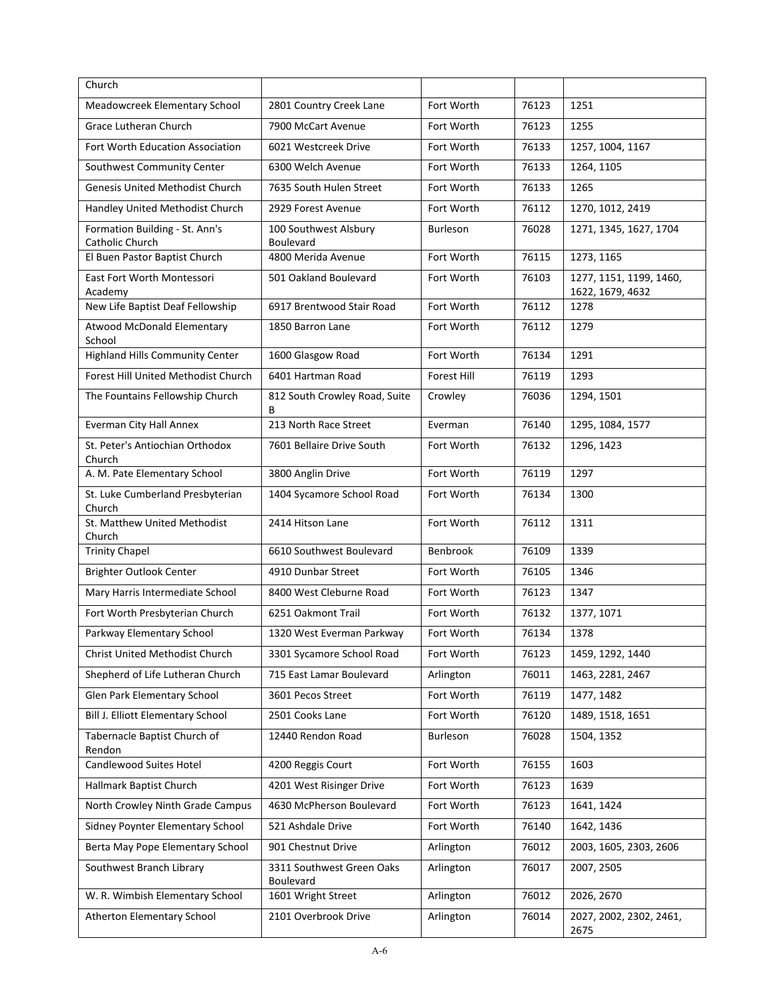| Church                                            |                                        |                    |       |                                             |
|---------------------------------------------------|----------------------------------------|--------------------|-------|---------------------------------------------|
| Meadowcreek Elementary School                     | 2801 Country Creek Lane                | Fort Worth         | 76123 | 1251                                        |
| <b>Grace Lutheran Church</b>                      | 7900 McCart Avenue                     | Fort Worth         | 76123 | 1255                                        |
| Fort Worth Education Association                  | 6021 Westcreek Drive                   | Fort Worth         | 76133 | 1257, 1004, 1167                            |
| Southwest Community Center                        | 6300 Welch Avenue                      | Fort Worth         | 76133 | 1264, 1105                                  |
| Genesis United Methodist Church                   | 7635 South Hulen Street                | Fort Worth         | 76133 | 1265                                        |
| Handley United Methodist Church                   | 2929 Forest Avenue                     | Fort Worth         | 76112 | 1270, 1012, 2419                            |
| Formation Building - St. Ann's<br>Catholic Church | 100 Southwest Alsbury<br>Boulevard     | Burleson           | 76028 | 1271, 1345, 1627, 1704                      |
| El Buen Pastor Baptist Church                     | 4800 Merida Avenue                     | Fort Worth         | 76115 | 1273, 1165                                  |
| East Fort Worth Montessori<br>Academy             | 501 Oakland Boulevard                  | Fort Worth         | 76103 | 1277, 1151, 1199, 1460,<br>1622, 1679, 4632 |
| New Life Baptist Deaf Fellowship                  | 6917 Brentwood Stair Road              | Fort Worth         | 76112 | 1278                                        |
| Atwood McDonald Elementary<br>School              | 1850 Barron Lane                       | Fort Worth         | 76112 | 1279                                        |
| <b>Highland Hills Community Center</b>            | 1600 Glasgow Road                      | Fort Worth         | 76134 | 1291                                        |
| Forest Hill United Methodist Church               | 6401 Hartman Road                      | <b>Forest Hill</b> | 76119 | 1293                                        |
| The Fountains Fellowship Church                   | 812 South Crowley Road, Suite<br>В     | Crowley            | 76036 | 1294, 1501                                  |
| <b>Everman City Hall Annex</b>                    | 213 North Race Street                  | Everman            | 76140 | 1295, 1084, 1577                            |
| St. Peter's Antiochian Orthodox<br>Church         | 7601 Bellaire Drive South              | Fort Worth         | 76132 | 1296, 1423                                  |
| A. M. Pate Elementary School                      | 3800 Anglin Drive                      | Fort Worth         | 76119 | 1297                                        |
| St. Luke Cumberland Presbyterian<br>Church        | 1404 Sycamore School Road              | Fort Worth         | 76134 | 1300                                        |
| St. Matthew United Methodist<br>Church            | 2414 Hitson Lane                       | Fort Worth         | 76112 | 1311                                        |
| <b>Trinity Chapel</b>                             | 6610 Southwest Boulevard               | Benbrook           | 76109 | 1339                                        |
| Brighter Outlook Center                           | 4910 Dunbar Street                     | Fort Worth         | 76105 | 1346                                        |
| Mary Harris Intermediate School                   | 8400 West Cleburne Road                | Fort Worth         | 76123 | 1347                                        |
| Fort Worth Presbyterian Church                    | 6251 Oakmont Trail                     | Fort Worth         | 76132 | 1377, 1071                                  |
| Parkway Elementary School                         | 1320 West Everman Parkway              | Fort Worth         | 76134 | 1378                                        |
| Christ United Methodist Church                    | 3301 Sycamore School Road              | Fort Worth         | 76123 | 1459, 1292, 1440                            |
| Shepherd of Life Lutheran Church                  | 715 East Lamar Boulevard               | Arlington          | 76011 | 1463, 2281, 2467                            |
| Glen Park Elementary School                       | 3601 Pecos Street                      | Fort Worth         | 76119 | 1477, 1482                                  |
| Bill J. Elliott Elementary School                 | 2501 Cooks Lane                        | Fort Worth         | 76120 | 1489, 1518, 1651                            |
| Tabernacle Baptist Church of<br>Rendon            | 12440 Rendon Road                      | Burleson           | 76028 | 1504, 1352                                  |
| Candlewood Suites Hotel                           | 4200 Reggis Court                      | Fort Worth         | 76155 | 1603                                        |
| Hallmark Baptist Church                           | 4201 West Risinger Drive               | Fort Worth         | 76123 | 1639                                        |
| North Crowley Ninth Grade Campus                  | 4630 McPherson Boulevard               | Fort Worth         | 76123 | 1641, 1424                                  |
| Sidney Poynter Elementary School                  | 521 Ashdale Drive                      | Fort Worth         | 76140 | 1642, 1436                                  |
| Berta May Pope Elementary School                  | 901 Chestnut Drive                     | Arlington          | 76012 | 2003, 1605, 2303, 2606                      |
| Southwest Branch Library                          | 3311 Southwest Green Oaks<br>Boulevard | Arlington          | 76017 | 2007, 2505                                  |
| W. R. Wimbish Elementary School                   | 1601 Wright Street                     | Arlington          | 76012 | 2026, 2670                                  |
| Atherton Elementary School                        | 2101 Overbrook Drive                   | Arlington          | 76014 | 2027, 2002, 2302, 2461,<br>2675             |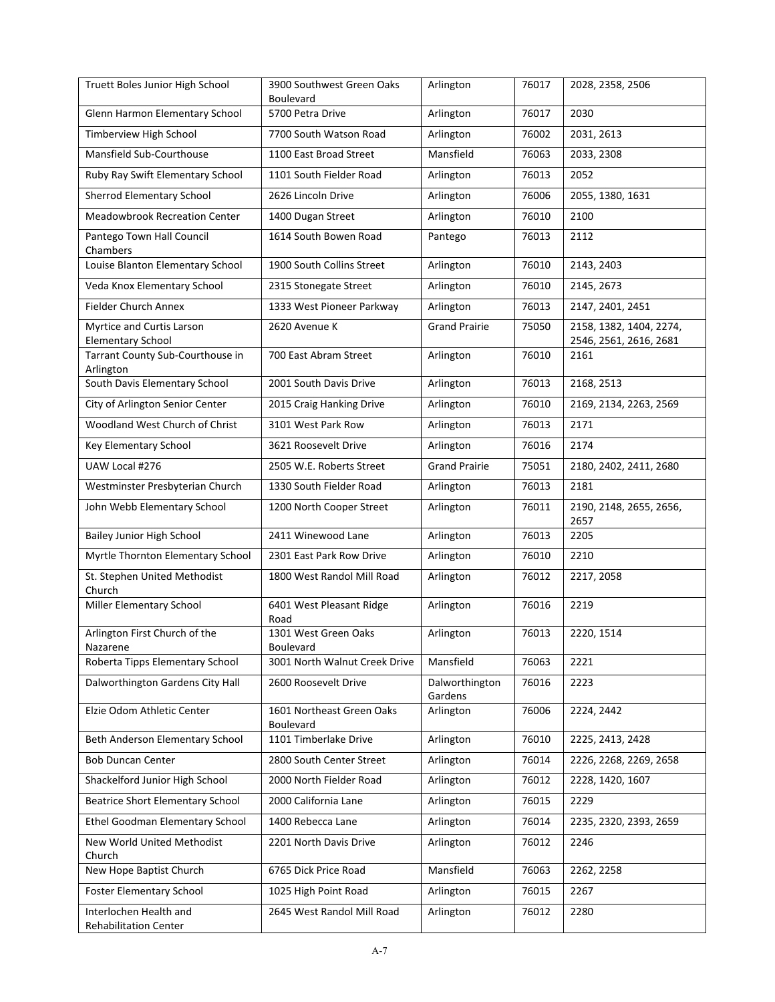| Truett Boles Junior High School                        | 3900 Southwest Green Oaks<br><b>Boulevard</b> | Arlington                 | 76017 | 2028, 2358, 2506                                  |
|--------------------------------------------------------|-----------------------------------------------|---------------------------|-------|---------------------------------------------------|
| Glenn Harmon Elementary School                         | 5700 Petra Drive                              | Arlington                 | 76017 | 2030                                              |
| Timberview High School                                 | 7700 South Watson Road                        | Arlington                 | 76002 | 2031, 2613                                        |
| Mansfield Sub-Courthouse                               | 1100 East Broad Street                        | Mansfield                 | 76063 | 2033, 2308                                        |
| Ruby Ray Swift Elementary School                       | 1101 South Fielder Road                       | Arlington                 | 76013 | 2052                                              |
| Sherrod Elementary School                              | 2626 Lincoln Drive                            | Arlington                 | 76006 | 2055, 1380, 1631                                  |
| <b>Meadowbrook Recreation Center</b>                   | 1400 Dugan Street                             | Arlington                 | 76010 | 2100                                              |
| Pantego Town Hall Council<br>Chambers                  | 1614 South Bowen Road                         | Pantego                   | 76013 | 2112                                              |
| Louise Blanton Elementary School                       | 1900 South Collins Street                     | Arlington                 | 76010 | 2143, 2403                                        |
| Veda Knox Elementary School                            | 2315 Stonegate Street                         | Arlington                 | 76010 | 2145, 2673                                        |
| <b>Fielder Church Annex</b>                            | 1333 West Pioneer Parkway                     | Arlington                 | 76013 | 2147, 2401, 2451                                  |
| Myrtice and Curtis Larson<br><b>Elementary School</b>  | 2620 Avenue K                                 | <b>Grand Prairie</b>      | 75050 | 2158, 1382, 1404, 2274,<br>2546, 2561, 2616, 2681 |
| Tarrant County Sub-Courthouse in                       | 700 East Abram Street                         | Arlington                 | 76010 | 2161                                              |
| Arlington<br>South Davis Elementary School             | 2001 South Davis Drive                        | Arlington                 | 76013 | 2168, 2513                                        |
| City of Arlington Senior Center                        | 2015 Craig Hanking Drive                      | Arlington                 | 76010 | 2169, 2134, 2263, 2569                            |
| Woodland West Church of Christ                         | 3101 West Park Row                            | Arlington                 | 76013 | 2171                                              |
| Key Elementary School                                  | 3621 Roosevelt Drive                          | Arlington                 | 76016 | 2174                                              |
| UAW Local #276                                         | 2505 W.E. Roberts Street                      | <b>Grand Prairie</b>      | 75051 | 2180, 2402, 2411, 2680                            |
| Westminster Presbyterian Church                        | 1330 South Fielder Road                       | Arlington                 | 76013 | 2181                                              |
| John Webb Elementary School                            | 1200 North Cooper Street                      | Arlington                 | 76011 | 2190, 2148, 2655, 2656,<br>2657                   |
| Bailey Junior High School                              | 2411 Winewood Lane                            | Arlington                 | 76013 | 2205                                              |
| Myrtle Thornton Elementary School                      | 2301 East Park Row Drive                      | Arlington                 | 76010 | 2210                                              |
| St. Stephen United Methodist<br>Church                 | 1800 West Randol Mill Road                    | Arlington                 | 76012 | 2217, 2058                                        |
| Miller Elementary School                               | 6401 West Pleasant Ridge<br>Road              | Arlington                 | 76016 | 2219                                              |
| Arlington First Church of the<br>Nazarene              | 1301 West Green Oaks<br><b>Boulevard</b>      | Arlington                 | 76013 | 2220, 1514                                        |
| Roberta Tipps Elementary School                        | 3001 North Walnut Creek Drive                 | Mansfield                 | 76063 | 2221                                              |
| Dalworthington Gardens City Hall                       | 2600 Roosevelt Drive                          | Dalworthington<br>Gardens | 76016 | 2223                                              |
| Elzie Odom Athletic Center                             | 1601 Northeast Green Oaks<br>Boulevard        | Arlington                 | 76006 | 2224, 2442                                        |
| Beth Anderson Elementary School                        | 1101 Timberlake Drive                         | Arlington                 | 76010 | 2225, 2413, 2428                                  |
| <b>Bob Duncan Center</b>                               | 2800 South Center Street                      | Arlington                 | 76014 | 2226, 2268, 2269, 2658                            |
| Shackelford Junior High School                         | 2000 North Fielder Road                       | Arlington                 | 76012 | 2228, 1420, 1607                                  |
| <b>Beatrice Short Elementary School</b>                | 2000 California Lane                          | Arlington                 | 76015 | 2229                                              |
| Ethel Goodman Elementary School                        | 1400 Rebecca Lane                             | Arlington                 | 76014 | 2235, 2320, 2393, 2659                            |
| New World United Methodist<br>Church                   | 2201 North Davis Drive                        | Arlington                 | 76012 | 2246                                              |
| New Hope Baptist Church                                | 6765 Dick Price Road                          | Mansfield                 | 76063 | 2262, 2258                                        |
| Foster Elementary School                               | 1025 High Point Road                          | Arlington                 | 76015 | 2267                                              |
| Interlochen Health and<br><b>Rehabilitation Center</b> | 2645 West Randol Mill Road                    | Arlington                 | 76012 | 2280                                              |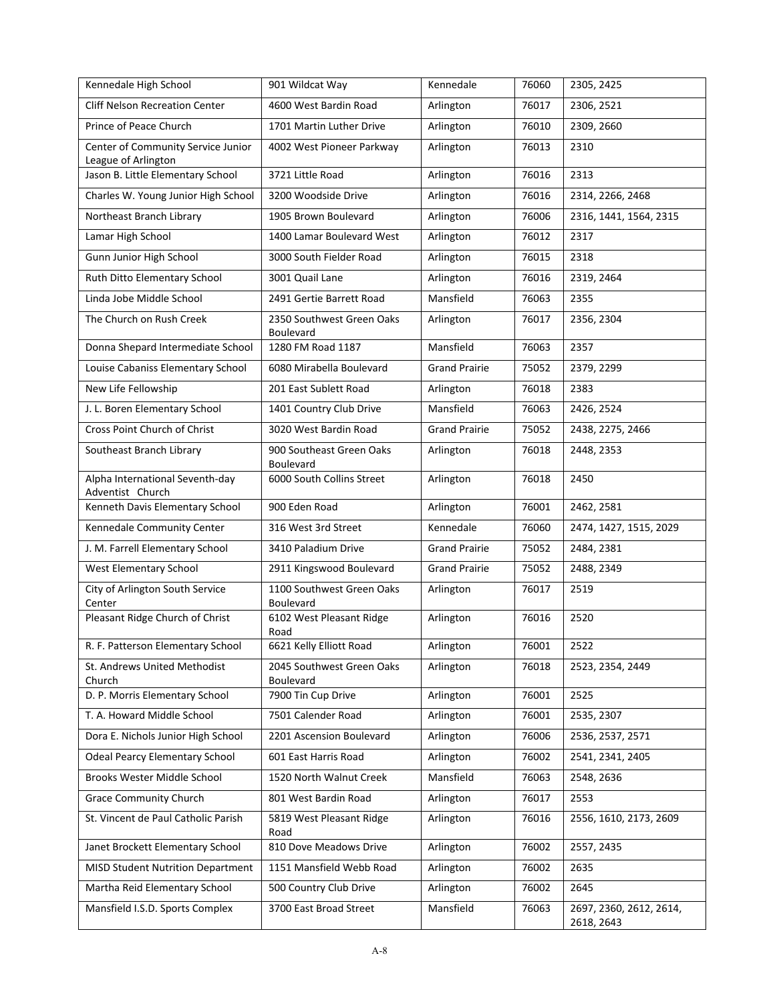| Kennedale High School                                     | 901 Wildcat Way                               | Kennedale            | 76060 | 2305, 2425                            |
|-----------------------------------------------------------|-----------------------------------------------|----------------------|-------|---------------------------------------|
| <b>Cliff Nelson Recreation Center</b>                     | 4600 West Bardin Road                         | Arlington            | 76017 | 2306, 2521                            |
| Prince of Peace Church                                    | 1701 Martin Luther Drive                      | Arlington            | 76010 | 2309, 2660                            |
| Center of Community Service Junior<br>League of Arlington | 4002 West Pioneer Parkway                     | Arlington            | 76013 | 2310                                  |
| Jason B. Little Elementary School                         | 3721 Little Road                              | Arlington            | 76016 | 2313                                  |
| Charles W. Young Junior High School                       | 3200 Woodside Drive                           | Arlington            | 76016 | 2314, 2266, 2468                      |
| Northeast Branch Library                                  | 1905 Brown Boulevard                          | Arlington            | 76006 | 2316, 1441, 1564, 2315                |
| Lamar High School                                         | 1400 Lamar Boulevard West                     | Arlington            | 76012 | 2317                                  |
| Gunn Junior High School                                   | 3000 South Fielder Road                       | Arlington            | 76015 | 2318                                  |
| Ruth Ditto Elementary School                              | 3001 Quail Lane                               | Arlington            | 76016 | 2319, 2464                            |
| Linda Jobe Middle School                                  | 2491 Gertie Barrett Road                      | Mansfield            | 76063 | 2355                                  |
| The Church on Rush Creek                                  | 2350 Southwest Green Oaks<br>Boulevard        | Arlington            | 76017 | 2356, 2304                            |
| Donna Shepard Intermediate School                         | 1280 FM Road 1187                             | Mansfield            | 76063 | 2357                                  |
| Louise Cabaniss Elementary School                         | 6080 Mirabella Boulevard                      | <b>Grand Prairie</b> | 75052 | 2379, 2299                            |
| New Life Fellowship                                       | 201 East Sublett Road                         | Arlington            | 76018 | 2383                                  |
| J. L. Boren Elementary School                             | 1401 Country Club Drive                       | Mansfield            | 76063 | 2426, 2524                            |
| Cross Point Church of Christ                              | 3020 West Bardin Road                         | <b>Grand Prairie</b> | 75052 | 2438, 2275, 2466                      |
| Southeast Branch Library                                  | 900 Southeast Green Oaks<br>Boulevard         | Arlington            | 76018 | 2448, 2353                            |
| Alpha International Seventh-day<br>Adventist Church       | 6000 South Collins Street                     | Arlington            | 76018 | 2450                                  |
| Kenneth Davis Elementary School                           | 900 Eden Road                                 | Arlington            | 76001 | 2462, 2581                            |
| Kennedale Community Center                                | 316 West 3rd Street                           | Kennedale            | 76060 | 2474, 1427, 1515, 2029                |
| J. M. Farrell Elementary School                           | 3410 Paladium Drive                           | <b>Grand Prairie</b> | 75052 | 2484, 2381                            |
| West Elementary School                                    | 2911 Kingswood Boulevard                      | <b>Grand Prairie</b> | 75052 | 2488, 2349                            |
| City of Arlington South Service<br>Center                 | 1100 Southwest Green Oaks<br><b>Boulevard</b> | Arlington            | 76017 | 2519                                  |
| Pleasant Ridge Church of Christ                           | 6102 West Pleasant Ridge<br>Road              | Arlington            | 76016 | 2520                                  |
| R. F. Patterson Elementary School                         | 6621 Kelly Elliott Road                       | Arlington            | 76001 | 2522                                  |
| St. Andrews United Methodist<br>Church                    | 2045 Southwest Green Oaks<br>Boulevard        | Arlington            | 76018 | 2523, 2354, 2449                      |
| D. P. Morris Elementary School                            | 7900 Tin Cup Drive                            | Arlington            | 76001 | 2525                                  |
| T. A. Howard Middle School                                | 7501 Calender Road                            | Arlington            | 76001 | 2535, 2307                            |
| Dora E. Nichols Junior High School                        | 2201 Ascension Boulevard                      | Arlington            | 76006 | 2536, 2537, 2571                      |
| <b>Odeal Pearcy Elementary School</b>                     | 601 East Harris Road                          | Arlington            | 76002 | 2541, 2341, 2405                      |
| Brooks Wester Middle School                               | 1520 North Walnut Creek                       | Mansfield            | 76063 | 2548, 2636                            |
| <b>Grace Community Church</b>                             | 801 West Bardin Road                          | Arlington            | 76017 | 2553                                  |
| St. Vincent de Paul Catholic Parish                       | 5819 West Pleasant Ridge<br>Road              | Arlington            | 76016 | 2556, 1610, 2173, 2609                |
| Janet Brockett Elementary School                          | 810 Dove Meadows Drive                        | Arlington            | 76002 | 2557, 2435                            |
| <b>MISD Student Nutrition Department</b>                  | 1151 Mansfield Webb Road                      | Arlington            | 76002 | 2635                                  |
| Martha Reid Elementary School                             | 500 Country Club Drive                        | Arlington            | 76002 | 2645                                  |
| Mansfield I.S.D. Sports Complex                           | 3700 East Broad Street                        | Mansfield            | 76063 | 2697, 2360, 2612, 2614,<br>2618, 2643 |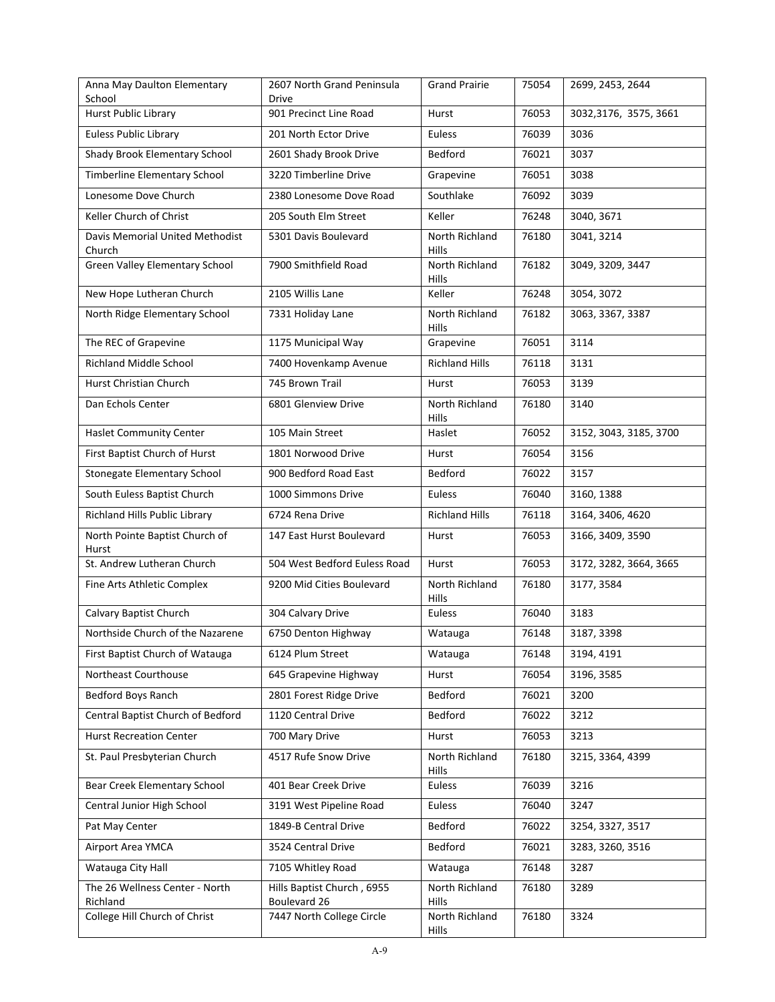| Anna May Daulton Elementary<br>School      | 2607 North Grand Peninsula<br>Drive        | <b>Grand Prairie</b>           | 75054 | 2699, 2453, 2644       |
|--------------------------------------------|--------------------------------------------|--------------------------------|-------|------------------------|
| Hurst Public Library                       | 901 Precinct Line Road                     | Hurst                          | 76053 | 3032,3176, 3575, 3661  |
| <b>Euless Public Library</b>               | 201 North Ector Drive                      | Euless                         | 76039 | 3036                   |
| Shady Brook Elementary School              | 2601 Shady Brook Drive                     | Bedford                        | 76021 | 3037                   |
| Timberline Elementary School               | 3220 Timberline Drive                      | Grapevine                      | 76051 | 3038                   |
| Lonesome Dove Church                       | 2380 Lonesome Dove Road                    | Southlake                      | 76092 | 3039                   |
| Keller Church of Christ                    | 205 South Elm Street                       | Keller                         | 76248 | 3040, 3671             |
| Davis Memorial United Methodist<br>Church  | 5301 Davis Boulevard                       | North Richland<br><b>Hills</b> | 76180 | 3041, 3214             |
| Green Valley Elementary School             | 7900 Smithfield Road                       | North Richland<br>Hills        | 76182 | 3049, 3209, 3447       |
| New Hope Lutheran Church                   | 2105 Willis Lane                           | Keller                         | 76248 | 3054, 3072             |
| North Ridge Elementary School              | 7331 Holiday Lane                          | North Richland<br><b>Hills</b> | 76182 | 3063, 3367, 3387       |
| The REC of Grapevine                       | 1175 Municipal Way                         | Grapevine                      | 76051 | 3114                   |
| <b>Richland Middle School</b>              | 7400 Hovenkamp Avenue                      | <b>Richland Hills</b>          | 76118 | 3131                   |
| Hurst Christian Church                     | 745 Brown Trail                            | Hurst                          | 76053 | 3139                   |
| Dan Echols Center                          | 6801 Glenview Drive                        | North Richland<br><b>Hills</b> | 76180 | 3140                   |
| <b>Haslet Community Center</b>             | 105 Main Street                            | Haslet                         | 76052 | 3152, 3043, 3185, 3700 |
| First Baptist Church of Hurst              | 1801 Norwood Drive                         | Hurst                          | 76054 | 3156                   |
| <b>Stonegate Elementary School</b>         | 900 Bedford Road East                      | Bedford                        | 76022 | 3157                   |
| South Euless Baptist Church                | 1000 Simmons Drive                         | Euless                         | 76040 | 3160, 1388             |
| Richland Hills Public Library              | 6724 Rena Drive                            | <b>Richland Hills</b>          | 76118 | 3164, 3406, 4620       |
| North Pointe Baptist Church of<br>Hurst    | 147 East Hurst Boulevard                   | Hurst                          | 76053 | 3166, 3409, 3590       |
| St. Andrew Lutheran Church                 | 504 West Bedford Euless Road               | Hurst                          | 76053 | 3172, 3282, 3664, 3665 |
| Fine Arts Athletic Complex                 | 9200 Mid Cities Boulevard                  | North Richland<br><b>Hills</b> | 76180 | 3177, 3584             |
| Calvary Baptist Church                     | 304 Calvary Drive                          | Euless                         | 76040 | 3183                   |
| Northside Church of the Nazarene           | 6750 Denton Highway                        | Watauga                        | 76148 | 3187, 3398             |
| First Baptist Church of Watauga            | 6124 Plum Street                           | Watauga                        | 76148 | 3194, 4191             |
| Northeast Courthouse                       | 645 Grapevine Highway                      | Hurst                          | 76054 | 3196, 3585             |
| Bedford Boys Ranch                         | 2801 Forest Ridge Drive                    | Bedford                        | 76021 | 3200                   |
| Central Baptist Church of Bedford          | 1120 Central Drive                         | Bedford                        | 76022 | 3212                   |
| <b>Hurst Recreation Center</b>             | 700 Mary Drive                             | Hurst                          | 76053 | 3213                   |
| St. Paul Presbyterian Church               | 4517 Rufe Snow Drive                       | North Richland<br>Hills        | 76180 | 3215, 3364, 4399       |
| <b>Bear Creek Elementary School</b>        | 401 Bear Creek Drive                       | Euless                         | 76039 | 3216                   |
| Central Junior High School                 | 3191 West Pipeline Road                    | Euless                         | 76040 | 3247                   |
| Pat May Center                             | 1849-B Central Drive                       | Bedford                        | 76022 | 3254, 3327, 3517       |
| Airport Area YMCA                          | 3524 Central Drive                         | Bedford                        | 76021 | 3283, 3260, 3516       |
| Watauga City Hall                          | 7105 Whitley Road                          | Watauga                        | 76148 | 3287                   |
| The 26 Wellness Center - North<br>Richland | Hills Baptist Church, 6955<br>Boulevard 26 | North Richland<br>Hills        | 76180 | 3289                   |
| College Hill Church of Christ              | 7447 North College Circle                  | North Richland<br>Hills        | 76180 | 3324                   |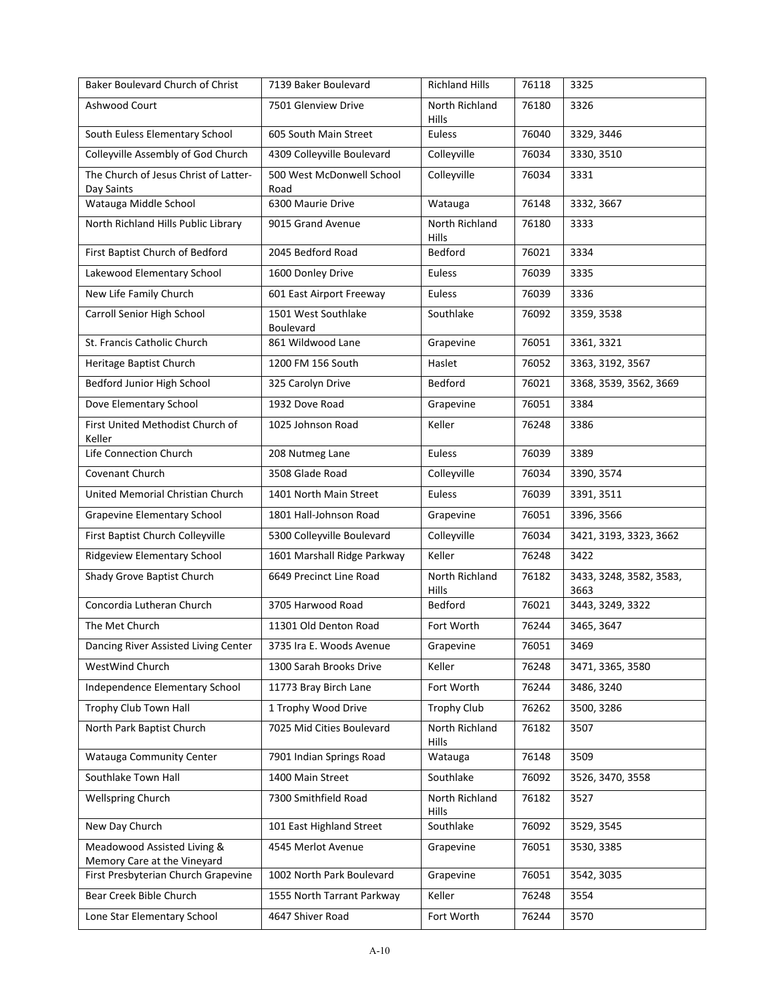| Baker Boulevard Church of Christ                           | 7139 Baker Boulevard                    | <b>Richland Hills</b>          | 76118 | 3325                            |
|------------------------------------------------------------|-----------------------------------------|--------------------------------|-------|---------------------------------|
| Ashwood Court                                              | 7501 Glenview Drive                     | North Richland<br>Hills        | 76180 | 3326                            |
| South Euless Elementary School                             | 605 South Main Street                   | Euless                         | 76040 | 3329, 3446                      |
| Colleyville Assembly of God Church                         | 4309 Colleyville Boulevard              | Colleyville                    | 76034 | 3330, 3510                      |
| The Church of Jesus Christ of Latter-<br>Day Saints        | 500 West McDonwell School<br>Road       | Colleyville                    | 76034 | 3331                            |
| Watauga Middle School                                      | 6300 Maurie Drive                       | Watauga                        | 76148 | 3332, 3667                      |
| North Richland Hills Public Library                        | 9015 Grand Avenue                       | North Richland<br><b>Hills</b> | 76180 | 3333                            |
| First Baptist Church of Bedford                            | 2045 Bedford Road                       | Bedford                        | 76021 | 3334                            |
| Lakewood Elementary School                                 | 1600 Donley Drive                       | Euless                         | 76039 | 3335                            |
| New Life Family Church                                     | 601 East Airport Freeway                | Euless                         | 76039 | 3336                            |
| Carroll Senior High School                                 | 1501 West Southlake<br><b>Boulevard</b> | Southlake                      | 76092 | 3359, 3538                      |
| St. Francis Catholic Church                                | 861 Wildwood Lane                       | Grapevine                      | 76051 | 3361, 3321                      |
| Heritage Baptist Church                                    | 1200 FM 156 South                       | Haslet                         | 76052 | 3363, 3192, 3567                |
| Bedford Junior High School                                 | 325 Carolyn Drive                       | <b>Bedford</b>                 | 76021 | 3368, 3539, 3562, 3669          |
| Dove Elementary School                                     | 1932 Dove Road                          | Grapevine                      | 76051 | 3384                            |
| First United Methodist Church of<br>Keller                 | 1025 Johnson Road                       | Keller                         | 76248 | 3386                            |
| Life Connection Church                                     | 208 Nutmeg Lane                         | Euless                         | 76039 | 3389                            |
| Covenant Church                                            | 3508 Glade Road                         | Colleyville                    | 76034 | 3390, 3574                      |
| United Memorial Christian Church                           | 1401 North Main Street                  | Euless                         | 76039 | 3391, 3511                      |
| Grapevine Elementary School                                | 1801 Hall-Johnson Road                  | Grapevine                      | 76051 | 3396, 3566                      |
| First Baptist Church Colleyville                           | 5300 Colleyville Boulevard              | Colleyville                    | 76034 | 3421, 3193, 3323, 3662          |
| Ridgeview Elementary School                                | 1601 Marshall Ridge Parkway             | Keller                         | 76248 | 3422                            |
| Shady Grove Baptist Church                                 | 6649 Precinct Line Road                 | North Richland<br>Hills        | 76182 | 3433, 3248, 3582, 3583,<br>3663 |
| Concordia Lutheran Church                                  | 3705 Harwood Road                       | Bedford                        | 76021 | 3443, 3249, 3322                |
| The Met Church                                             | 11301 Old Denton Road                   | Fort Worth                     | 76244 | 3465, 3647                      |
| Dancing River Assisted Living Center                       | 3735 Ira E. Woods Avenue                | Grapevine                      | 76051 | 3469                            |
| WestWind Church                                            | 1300 Sarah Brooks Drive                 | Keller                         | 76248 | 3471, 3365, 3580                |
| Independence Elementary School                             | 11773 Bray Birch Lane                   | Fort Worth                     | 76244 | 3486, 3240                      |
| Trophy Club Town Hall                                      | 1 Trophy Wood Drive                     | <b>Trophy Club</b>             | 76262 | 3500, 3286                      |
| North Park Baptist Church                                  | 7025 Mid Cities Boulevard               | North Richland<br>Hills        | 76182 | 3507                            |
| <b>Watauga Community Center</b>                            | 7901 Indian Springs Road                | Watauga                        | 76148 | 3509                            |
| Southlake Town Hall                                        | 1400 Main Street                        | Southlake                      | 76092 | 3526, 3470, 3558                |
| <b>Wellspring Church</b>                                   | 7300 Smithfield Road                    | North Richland<br>Hills        | 76182 | 3527                            |
| New Day Church                                             | 101 East Highland Street                | Southlake                      | 76092 | 3529, 3545                      |
| Meadowood Assisted Living &<br>Memory Care at the Vineyard | 4545 Merlot Avenue                      | Grapevine                      | 76051 | 3530, 3385                      |
| First Presbyterian Church Grapevine                        | 1002 North Park Boulevard               | Grapevine                      | 76051 | 3542, 3035                      |
| Bear Creek Bible Church                                    | 1555 North Tarrant Parkway              | Keller                         | 76248 | 3554                            |
| Lone Star Elementary School                                | 4647 Shiver Road                        | Fort Worth                     | 76244 | 3570                            |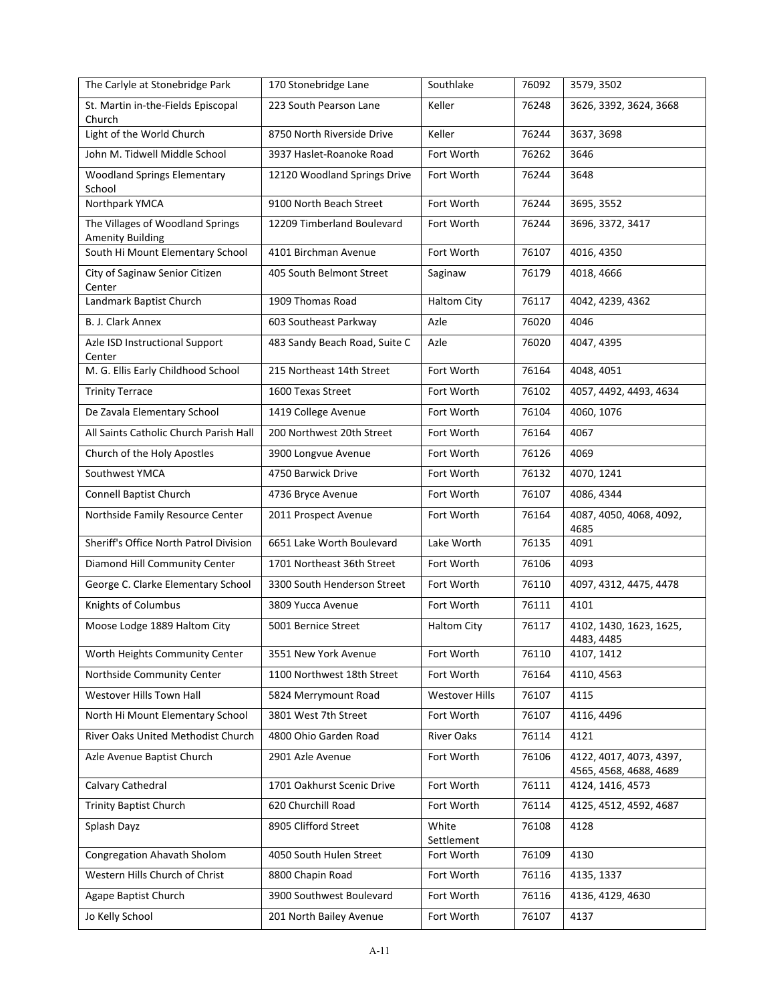| The Carlyle at Stonebridge Park                             | 170 Stonebridge Lane          | Southlake             | 76092 | 3579, 3502                                        |
|-------------------------------------------------------------|-------------------------------|-----------------------|-------|---------------------------------------------------|
| St. Martin in-the-Fields Episcopal<br>Church                | 223 South Pearson Lane        | Keller                | 76248 | 3626, 3392, 3624, 3668                            |
| Light of the World Church                                   | 8750 North Riverside Drive    | Keller                | 76244 | 3637, 3698                                        |
| John M. Tidwell Middle School                               | 3937 Haslet-Roanoke Road      | Fort Worth            | 76262 | 3646                                              |
| <b>Woodland Springs Elementary</b><br>School                | 12120 Woodland Springs Drive  | Fort Worth            | 76244 | 3648                                              |
| Northpark YMCA                                              | 9100 North Beach Street       | Fort Worth            | 76244 | 3695, 3552                                        |
| The Villages of Woodland Springs<br><b>Amenity Building</b> | 12209 Timberland Boulevard    | Fort Worth            | 76244 | 3696, 3372, 3417                                  |
| South Hi Mount Elementary School                            | 4101 Birchman Avenue          | Fort Worth            | 76107 | 4016, 4350                                        |
| City of Saginaw Senior Citizen<br>Center                    | 405 South Belmont Street      | Saginaw               | 76179 | 4018, 4666                                        |
| Landmark Baptist Church                                     | 1909 Thomas Road              | <b>Haltom City</b>    | 76117 | 4042, 4239, 4362                                  |
| B. J. Clark Annex                                           | 603 Southeast Parkway         | Azle                  | 76020 | 4046                                              |
| Azle ISD Instructional Support<br>Center                    | 483 Sandy Beach Road, Suite C | Azle                  | 76020 | 4047, 4395                                        |
| M. G. Ellis Early Childhood School                          | 215 Northeast 14th Street     | Fort Worth            | 76164 | 4048, 4051                                        |
| <b>Trinity Terrace</b>                                      | 1600 Texas Street             | Fort Worth            | 76102 | 4057, 4492, 4493, 4634                            |
| De Zavala Elementary School                                 | 1419 College Avenue           | Fort Worth            | 76104 | 4060, 1076                                        |
| All Saints Catholic Church Parish Hall                      | 200 Northwest 20th Street     | Fort Worth            | 76164 | 4067                                              |
| Church of the Holy Apostles                                 | 3900 Longvue Avenue           | Fort Worth            | 76126 | 4069                                              |
| Southwest YMCA                                              | 4750 Barwick Drive            | Fort Worth            | 76132 | 4070, 1241                                        |
| Connell Baptist Church                                      | 4736 Bryce Avenue             | Fort Worth            | 76107 | 4086, 4344                                        |
| Northside Family Resource Center                            | 2011 Prospect Avenue          | Fort Worth            | 76164 | 4087, 4050, 4068, 4092,<br>4685                   |
| Sheriff's Office North Patrol Division                      | 6651 Lake Worth Boulevard     | Lake Worth            | 76135 | 4091                                              |
| Diamond Hill Community Center                               | 1701 Northeast 36th Street    | Fort Worth            | 76106 | 4093                                              |
| George C. Clarke Elementary School                          | 3300 South Henderson Street   | Fort Worth            | 76110 | 4097, 4312, 4475, 4478                            |
| Knights of Columbus                                         | 3809 Yucca Avenue             | Fort Worth            | 76111 | 4101                                              |
| Moose Lodge 1889 Haltom City                                | 5001 Bernice Street           | <b>Haltom City</b>    | 76117 | 4102, 1430, 1623, 1625,<br>4483, 4485             |
| Worth Heights Community Center                              | 3551 New York Avenue          | Fort Worth            | 76110 | 4107, 1412                                        |
| Northside Community Center                                  | 1100 Northwest 18th Street    | Fort Worth            | 76164 | 4110, 4563                                        |
| Westover Hills Town Hall                                    | 5824 Merrymount Road          | <b>Westover Hills</b> | 76107 | 4115                                              |
| North Hi Mount Elementary School                            | 3801 West 7th Street          | Fort Worth            | 76107 | 4116, 4496                                        |
| River Oaks United Methodist Church                          | 4800 Ohio Garden Road         | River Oaks            | 76114 | 4121                                              |
| Azle Avenue Baptist Church                                  | 2901 Azle Avenue              | Fort Worth            | 76106 | 4122, 4017, 4073, 4397,<br>4565, 4568, 4688, 4689 |
| Calvary Cathedral                                           | 1701 Oakhurst Scenic Drive    | Fort Worth            | 76111 | 4124, 1416, 4573                                  |
| <b>Trinity Baptist Church</b>                               | 620 Churchill Road            | Fort Worth            | 76114 | 4125, 4512, 4592, 4687                            |
| Splash Dayz                                                 | 8905 Clifford Street          | White<br>Settlement   | 76108 | 4128                                              |
| <b>Congregation Ahavath Sholom</b>                          | 4050 South Hulen Street       | Fort Worth            | 76109 | 4130                                              |
| Western Hills Church of Christ                              | 8800 Chapin Road              | Fort Worth            | 76116 | 4135, 1337                                        |
| Agape Baptist Church                                        | 3900 Southwest Boulevard      | Fort Worth            | 76116 | 4136, 4129, 4630                                  |
| Jo Kelly School                                             | 201 North Bailey Avenue       | Fort Worth            | 76107 | 4137                                              |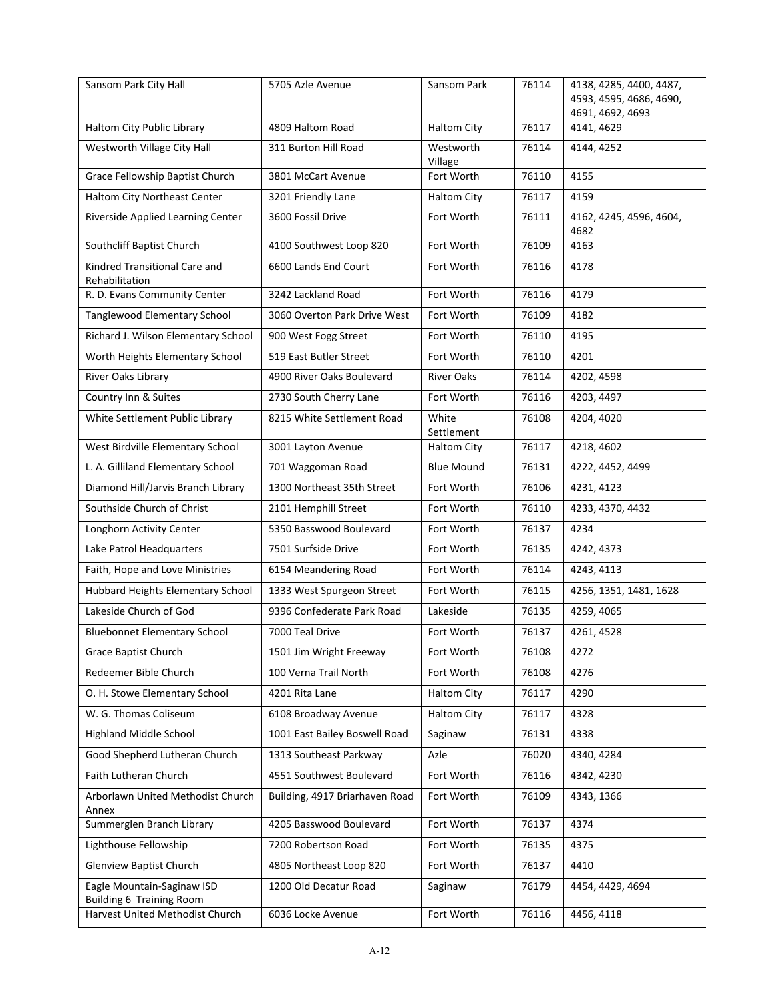| Sansom Park City Hall                                         | 5705 Azle Avenue               | Sansom Park          | 76114 | 4138, 4285, 4400, 4487,<br>4593, 4595, 4686, 4690,<br>4691, 4692, 4693 |
|---------------------------------------------------------------|--------------------------------|----------------------|-------|------------------------------------------------------------------------|
| Haltom City Public Library                                    | 4809 Haltom Road               | <b>Haltom City</b>   | 76117 | 4141, 4629                                                             |
| Westworth Village City Hall                                   | 311 Burton Hill Road           | Westworth<br>Village | 76114 | 4144, 4252                                                             |
| Grace Fellowship Baptist Church                               | 3801 McCart Avenue             | Fort Worth           | 76110 | 4155                                                                   |
| Haltom City Northeast Center                                  | 3201 Friendly Lane             | <b>Haltom City</b>   | 76117 | 4159                                                                   |
| Riverside Applied Learning Center                             | 3600 Fossil Drive              | Fort Worth           | 76111 | 4162, 4245, 4596, 4604,<br>4682                                        |
| Southcliff Baptist Church                                     | 4100 Southwest Loop 820        | Fort Worth           | 76109 | 4163                                                                   |
| Kindred Transitional Care and<br>Rehabilitation               | 6600 Lands End Court           | Fort Worth           | 76116 | 4178                                                                   |
| R. D. Evans Community Center                                  | 3242 Lackland Road             | Fort Worth           | 76116 | 4179                                                                   |
| Tanglewood Elementary School                                  | 3060 Overton Park Drive West   | Fort Worth           | 76109 | 4182                                                                   |
| Richard J. Wilson Elementary School                           | 900 West Fogg Street           | Fort Worth           | 76110 | 4195                                                                   |
| Worth Heights Elementary School                               | 519 East Butler Street         | Fort Worth           | 76110 | 4201                                                                   |
| River Oaks Library                                            | 4900 River Oaks Boulevard      | <b>River Oaks</b>    | 76114 | 4202, 4598                                                             |
| Country Inn & Suites                                          | 2730 South Cherry Lane         | Fort Worth           | 76116 | 4203, 4497                                                             |
| White Settlement Public Library                               | 8215 White Settlement Road     | White<br>Settlement  | 76108 | 4204, 4020                                                             |
| West Birdville Elementary School                              | 3001 Layton Avenue             | <b>Haltom City</b>   | 76117 | 4218, 4602                                                             |
| L. A. Gilliland Elementary School                             | 701 Waggoman Road              | <b>Blue Mound</b>    | 76131 | 4222, 4452, 4499                                                       |
| Diamond Hill/Jarvis Branch Library                            | 1300 Northeast 35th Street     | Fort Worth           | 76106 | 4231, 4123                                                             |
| Southside Church of Christ                                    | 2101 Hemphill Street           | Fort Worth           | 76110 | 4233, 4370, 4432                                                       |
| Longhorn Activity Center                                      | 5350 Basswood Boulevard        | Fort Worth           | 76137 | 4234                                                                   |
| Lake Patrol Headquarters                                      | 7501 Surfside Drive            | Fort Worth           | 76135 | 4242, 4373                                                             |
| Faith, Hope and Love Ministries                               | 6154 Meandering Road           | Fort Worth           | 76114 | 4243, 4113                                                             |
| Hubbard Heights Elementary School                             | 1333 West Spurgeon Street      | Fort Worth           | 76115 | 4256, 1351, 1481, 1628                                                 |
| Lakeside Church of God                                        | 9396 Confederate Park Road     | Lakeside             | 76135 | 4259, 4065                                                             |
| <b>Bluebonnet Elementary School</b>                           | 7000 Teal Drive                | Fort Worth           | 76137 | 4261, 4528                                                             |
| Grace Baptist Church                                          | 1501 Jim Wright Freeway        | Fort Worth           | 76108 | 4272                                                                   |
| Redeemer Bible Church                                         | 100 Verna Trail North          | Fort Worth           | 76108 | 4276                                                                   |
| O. H. Stowe Elementary School                                 | 4201 Rita Lane                 | <b>Haltom City</b>   | 76117 | 4290                                                                   |
| W. G. Thomas Coliseum                                         | 6108 Broadway Avenue           | <b>Haltom City</b>   | 76117 | 4328                                                                   |
| <b>Highland Middle School</b>                                 | 1001 East Bailey Boswell Road  | Saginaw              | 76131 | 4338                                                                   |
| Good Shepherd Lutheran Church                                 | 1313 Southeast Parkway         | Azle                 | 76020 | 4340, 4284                                                             |
| Faith Lutheran Church                                         | 4551 Southwest Boulevard       | Fort Worth           | 76116 | 4342, 4230                                                             |
| Arborlawn United Methodist Church<br>Annex                    | Building, 4917 Briarhaven Road | Fort Worth           | 76109 | 4343, 1366                                                             |
| Summerglen Branch Library                                     | 4205 Basswood Boulevard        | Fort Worth           | 76137 | 4374                                                                   |
| Lighthouse Fellowship                                         | 7200 Robertson Road            | Fort Worth           | 76135 | 4375                                                                   |
| Glenview Baptist Church                                       | 4805 Northeast Loop 820        | Fort Worth           | 76137 | 4410                                                                   |
| Eagle Mountain-Saginaw ISD<br><b>Building 6 Training Room</b> | 1200 Old Decatur Road          | Saginaw              | 76179 | 4454, 4429, 4694                                                       |
| Harvest United Methodist Church                               | 6036 Locke Avenue              | Fort Worth           | 76116 | 4456, 4118                                                             |